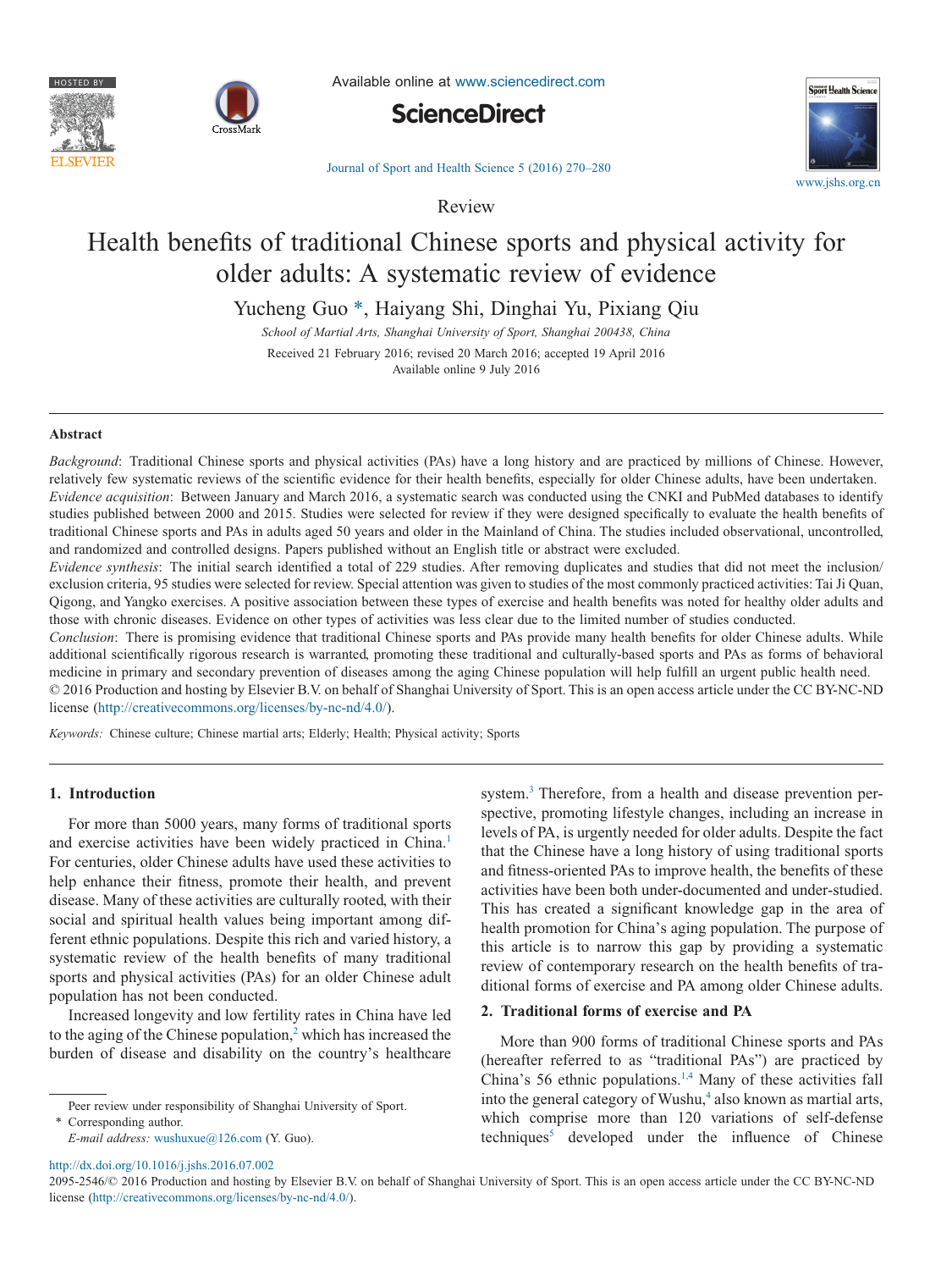



Available online at [www.sciencedirect.com](http://www.sciencedirect.com/science/journal/20952546)





[Journal of Sport and Health Science 5 \(2016\) 270–280](http://dx.doi.org/10.1016/j.jshs.2016.07.002)

Review

# Health benefits of traditional Chinese sports and physical activity for older adults: A systematic review of evidence

Yucheng Guo [\\*,](#page-0-0) Haiyang Shi, Dinghai Yu, Pixiang Qiu

*School of Martial Arts, Shanghai University of Sport, Shanghai 200438, China* Received 21 February 2016; revised 20 March 2016; accepted 19 April 2016 Available online 9 July 2016

#### **Abstract**

*Background*: Traditional Chinese sports and physical activities (PAs) have a long history and are practiced by millions of Chinese. However, relatively few systematic reviews of the scientific evidence for their health benefits, especially for older Chinese adults, have been undertaken. *Evidence acquisition*: Between January and March 2016, a systematic search was conducted using the CNKI and PubMed databases to identify studies published between 2000 and 2015. Studies were selected for review if they were designed specifically to evaluate the health benefits of traditional Chinese sports and PAs in adults aged 50 years and older in the Mainland of China. The studies included observational, uncontrolled, and randomized and controlled designs. Papers published without an English title or abstract were excluded.

*Evidence synthesis*: The initial search identified a total of 229 studies. After removing duplicates and studies that did not meet the inclusion/ exclusion criteria, 95 studies were selected for review. Special attention was given to studies of the most commonly practiced activities: Tai Ji Quan, Qigong, and Yangko exercises. A positive association between these types of exercise and health benefits was noted for healthy older adults and those with chronic diseases. Evidence on other types of activities was less clear due to the limited number of studies conducted.

*Conclusion*: There is promising evidence that traditional Chinese sports and PAs provide many health benefits for older Chinese adults. While additional scientifically rigorous research is warranted, promoting these traditional and culturally-based sports and PAs as forms of behavioral medicine in primary and secondary prevention of diseases among the aging Chinese population will help fulfill an urgent public health need. © 2016 Production and hosting by Elsevier B.V. on behalf of Shanghai University of Sport. This is an open access article under the CC BY-NC-ND license (http://creativecommons.org/licenses/by-nc-nd/4.0/).

*Keywords:* Chinese culture; Chinese martial arts; Elderly; Health; Physical activity; Sports

# **1. Introduction**

For more than 5000 years, many forms of traditional sports and exercise activities have been widely practiced in China.<sup>1</sup> For centuries, older Chinese adults have used these activities to help enhance their fitness, promote their health, and prevent disease. Many of these activities are culturally rooted, with their social and spiritual health values being important among different ethnic populations. Despite this rich and varied history, a systematic review of the health benefits of many traditional sports and physical activities (PAs) for an older Chinese adult population has not been conducted.

Increased longevity and low fertility rates in China have led to the aging of the Chinese population, $2$  which has increased the burden of disease and disability on the country's healthcare

<span id="page-0-0"></span>Peer review under responsibility of Shanghai University of Sport.

Corresponding author. *E-mail address:* [wushuxue@126.com](mailto:wushuxue@126.com) (Y. Guo). system.<sup>3</sup> Therefore, from a health and disease prevention perspective, promoting lifestyle changes, including an increase in levels of PA, is urgently needed for older adults. Despite the fact that the Chinese have a long history of using traditional sports and fitness-oriented PAs to improve health, the benefits of these activities have been both under-documented and under-studied. This has created a significant knowledge gap in the area of health promotion for China's aging population. The purpose of this article is to narrow this gap by providing a systematic review of contemporary research on the health benefits of traditional forms of exercise and PA among older Chinese adults.

# **2. Traditional forms of exercise and PA**

More than 900 forms of traditional Chinese sports and PAs (hereafter referred to as "traditional PAs") are practiced by China's 56 ethnic populations. $1,4$  Many of these activities fall into the general category of Wushu,<sup>4</sup> also known as martial arts, which comprise more than 120 variations of self-defense  $techniques<sup>5</sup> developed under the influence of Chinese$ 

http://dx.doi.org/10.1016/j.jshs.2016.07.002

<sup>2095-2546/© 2016</sup> Production and hosting by Elsevier B.V. on behalf of Shanghai University of Sport. This is an open access article under the CC BY-NC-ND license (http://creativecommons.org/licenses/by-nc-nd/4.0/).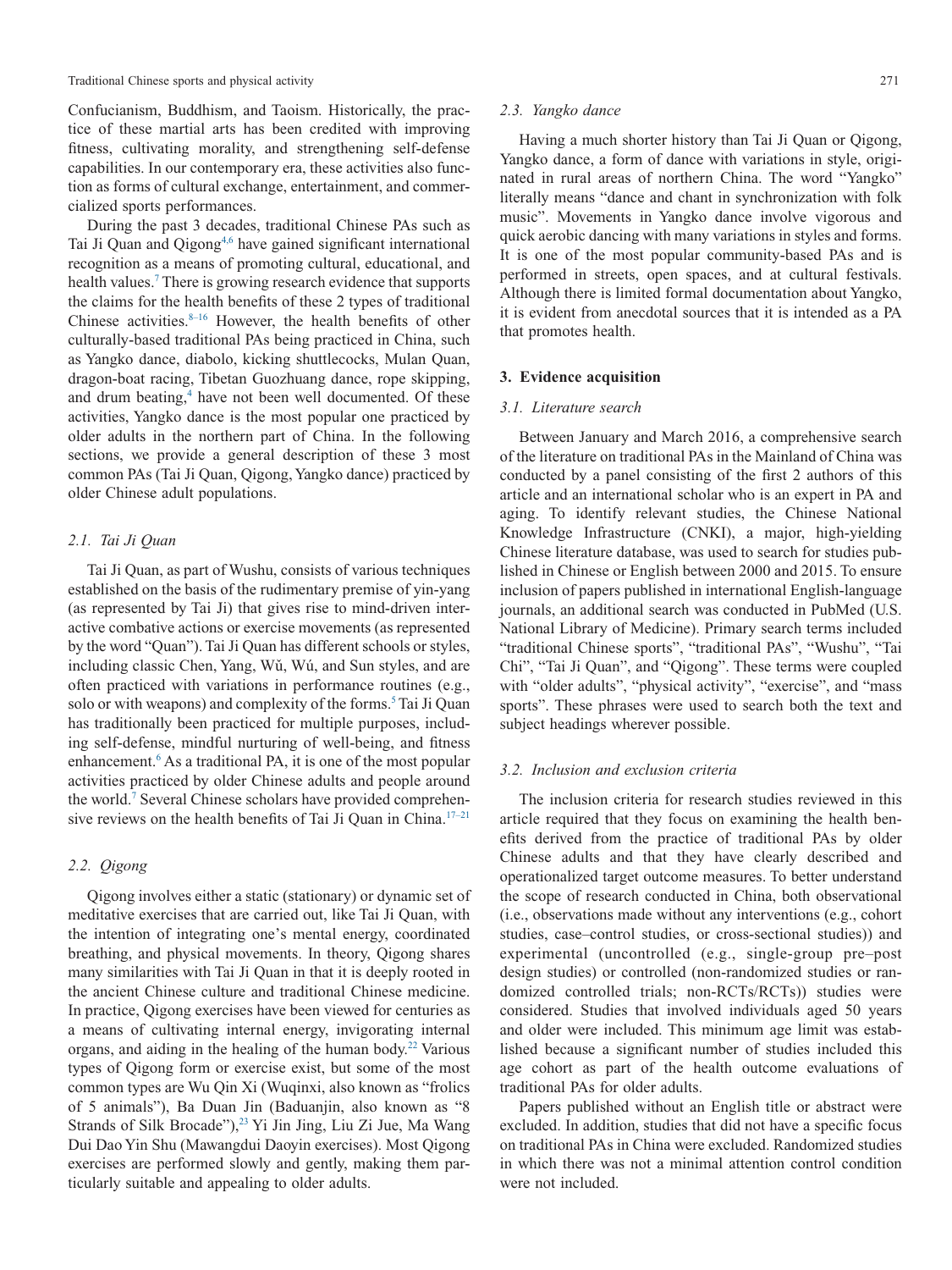Confucianism, Buddhism, and Taoism. Historically, the practice of these martial arts has been credited with improving fitness, cultivating morality, and strengthening self-defense capabilities. In our contemporary era, these activities also function as forms of cultural exchange, entertainment, and commercialized sports performances.

During the past 3 decades, traditional Chinese PAs such as Tai Ji Quan and Qigong<sup>4,6</sup> have gained significant international recognition as a means of promoting cultural, educational, and health values.<sup>7</sup> There is growing research evidence that supports the claims for the health benefits of these 2 types of traditional Chinese activities. $8-16$  However, the health benefits of other culturally-based traditional PAs being practiced in China, such as Yangko dance, diabolo, kicking shuttlecocks, Mulan Quan, dragon-boat racing, Tibetan Guozhuang dance, rope skipping, and drum beating,<sup>4</sup> have not been well documented. Of these activities, Yangko dance is the most popular one practiced by older adults in the northern part of China. In the following sections, we provide a general description of these 3 most common PAs (Tai Ji Quan, Qigong, Yangko dance) practiced by older Chinese adult populations.

#### *2.1. Tai Ji Quan*

Tai Ji Quan, as part of Wushu, consists of various techniques established on the basis of the rudimentary premise of yin-yang (as represented by Tai Ji) that gives rise to mind-driven interactive combative actions or exercise movements (as represented by the word "Quan"). Tai Ji Quan has different schools or styles, including classic Chen, Yang, Wǔ, Wú, and Sun styles, and are often practiced with variations in performance routines (e.g., solo or with weapons) and complexity of the forms.<sup>5</sup> Tai Ji Quan has traditionally been practiced for multiple purposes, including self-defense, mindful nurturing of well-being, and fitness enhancement.<sup>6</sup> As a traditional PA, it is one of the most popular activities practiced by older Chinese adults and people around the world[.7](#page-7-5) Several Chinese scholars have provided comprehensive reviews on the health benefits of Tai Ji Quan in China.<sup>17-21</sup>

# *2.2. Qigong*

Qigong involves either a static (stationary) or dynamic set of meditative exercises that are carried out, like Tai Ji Quan, with the intention of integrating one's mental energy, coordinated breathing, and physical movements. In theory, Qigong shares many similarities with Tai Ji Quan in that it is deeply rooted in the ancient Chinese culture and traditional Chinese medicine. In practice, Qigong exercises have been viewed for centuries as a means of cultivating internal energy, invigorating internal organs, and aiding in the healing of the human body.<sup>22</sup> Various types of Qigong form or exercise exist, but some of the most common types are Wu Qin Xi (Wuqinxi, also known as "frolics of 5 animals"), Ba Duan Jin (Baduanjin, also known as "8 Strands of Silk Brocade"),<sup>23</sup> Yi Jin Jing, Liu Zi Jue, Ma Wang Dui Dao Yin Shu (Mawangdui Daoyin exercises). Most Qigong exercises are performed slowly and gently, making them particularly suitable and appealing to older adults.

#### *2.3. Yangko dance*

Having a much shorter history than Tai Ji Quan or Qigong, Yangko dance, a form of dance with variations in style, originated in rural areas of northern China. The word "Yangko" literally means "dance and chant in synchronization with folk music". Movements in Yangko dance involve vigorous and quick aerobic dancing with many variations in styles and forms. It is one of the most popular community-based PAs and is performed in streets, open spaces, and at cultural festivals. Although there is limited formal documentation about Yangko, it is evident from anecdotal sources that it is intended as a PA that promotes health.

# **3. Evidence acquisition**

#### *3.1. Literature search*

Between January and March 2016, a comprehensive search of the literature on traditional PAs in the Mainland of China was conducted by a panel consisting of the first 2 authors of this article and an international scholar who is an expert in PA and aging. To identify relevant studies, the Chinese National Knowledge Infrastructure (CNKI), a major, high-yielding Chinese literature database, was used to search for studies published in Chinese or English between 2000 and 2015. To ensure inclusion of papers published in international English-language journals, an additional search was conducted in PubMed (U.S. National Library of Medicine). Primary search terms included "traditional Chinese sports", "traditional PAs", "Wushu", "Tai Chi", "Tai Ji Quan", and "Qigong". These terms were coupled with "older adults", "physical activity", "exercise", and "mass sports". These phrases were used to search both the text and subject headings wherever possible.

#### *3.2. Inclusion and exclusion criteria*

The inclusion criteria for research studies reviewed in this article required that they focus on examining the health benefits derived from the practice of traditional PAs by older Chinese adults and that they have clearly described and operationalized target outcome measures. To better understand the scope of research conducted in China, both observational (i.e., observations made without any interventions (e.g., cohort studies, case–control studies, or cross-sectional studies)) and experimental (uncontrolled (e.g., single-group pre–post design studies) or controlled (non-randomized studies or randomized controlled trials; non-RCTs/RCTs)) studies were considered. Studies that involved individuals aged 50 years and older were included. This minimum age limit was established because a significant number of studies included this age cohort as part of the health outcome evaluations of traditional PAs for older adults.

Papers published without an English title or abstract were excluded. In addition, studies that did not have a specific focus on traditional PAs in China were excluded. Randomized studies in which there was not a minimal attention control condition were not included.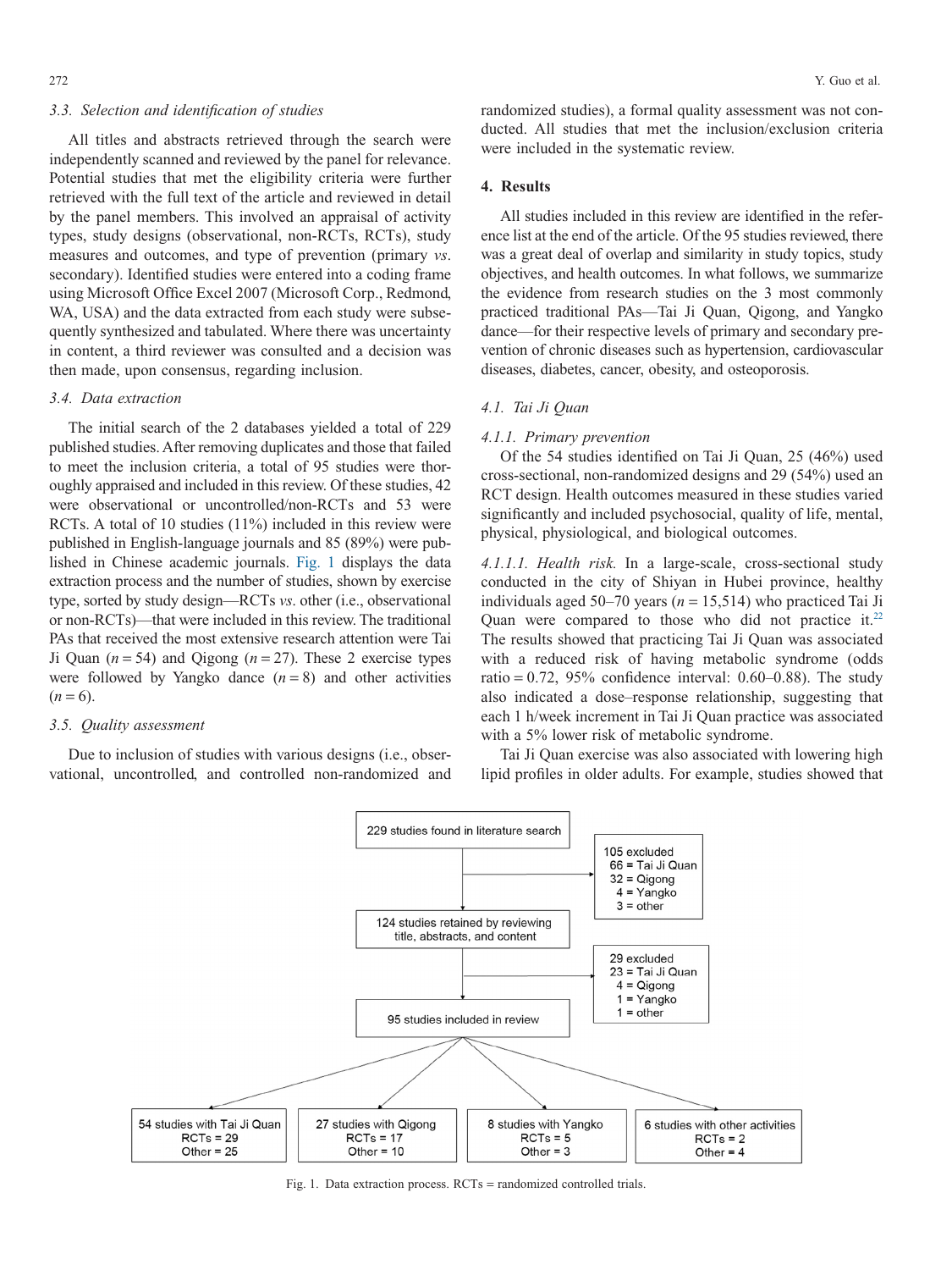#### *3.3. Selection and identification of studies*

All titles and abstracts retrieved through the search were independently scanned and reviewed by the panel for relevance. Potential studies that met the eligibility criteria were further retrieved with the full text of the article and reviewed in detail by the panel members. This involved an appraisal of activity types, study designs (observational, non-RCTs, RCTs), study measures and outcomes, and type of prevention (primary *vs*. secondary). Identified studies were entered into a coding frame using Microsoft Office Excel 2007 (Microsoft Corp., Redmond, WA, USA) and the data extracted from each study were subsequently synthesized and tabulated. Where there was uncertainty in content, a third reviewer was consulted and a decision was then made, upon consensus, regarding inclusion.

# *3.4. Data extraction*

The initial search of the 2 databases yielded a total of 229 published studies. After removing duplicates and those that failed to meet the inclusion criteria, a total of 95 studies were thoroughly appraised and included in this review. Of these studies, 42 were observational or uncontrolled/non-RCTs and 53 were RCTs. A total of 10 studies (11%) included in this review were published in English-language journals and 85 (89%) were published in Chinese academic journals. Fig. 1 displays the data extraction process and the number of studies, shown by exercise type, sorted by study design—RCTs *vs*. other (i.e., observational or non-RCTs)—that were included in this review. The traditional PAs that received the most extensive research attention were Tai Ji Quan  $(n = 54)$  and Qigong  $(n = 27)$ . These 2 exercise types were followed by Yangko dance  $(n = 8)$  and other activities  $(n=6)$ .

#### *3.5. Quality assessment*

Due to inclusion of studies with various designs (i.e., observational, uncontrolled, and controlled non-randomized and

randomized studies), a formal quality assessment was not conducted. All studies that met the inclusion/exclusion criteria were included in the systematic review.

#### **4. Results**

All studies included in this review are identified in the reference list at the end of the article. Of the 95 studies reviewed, there was a great deal of overlap and similarity in study topics, study objectives, and health outcomes. In what follows, we summarize the evidence from research studies on the 3 most commonly practiced traditional PAs—Tai Ji Quan, Qigong, and Yangko dance—for their respective levels of primary and secondary prevention of chronic diseases such as hypertension, cardiovascular diseases, diabetes, cancer, obesity, and osteoporosis.

# *4.1. Tai Ji Quan*

#### *4.1.1. Primary prevention*

Of the 54 studies identified on Tai Ji Quan, 25 (46%) used cross-sectional, non-randomized designs and 29 (54%) used an RCT design. Health outcomes measured in these studies varied significantly and included psychosocial, quality of life, mental, physical, physiological, and biological outcomes.

*4.1.1.1. Health risk.* In a large-scale, cross-sectional study conducted in the city of Shiyan in Hubei province, healthy individuals aged 50–70 years ( $n = 15,514$ ) who practiced Tai Ji Quan were compared to those who did not practice it. $22$ The results showed that practicing Tai Ji Quan was associated with a reduced risk of having metabolic syndrome (odds ratio =  $0.72$ ,  $95\%$  confidence interval:  $0.60-0.88$ ). The study also indicated a dose–response relationship, suggesting that each 1 h/week increment in Tai Ji Quan practice was associated with a 5% lower risk of metabolic syndrome.

Tai Ji Quan exercise was also associated with lowering high lipid profiles in older adults. For example, studies showed that



Fig. 1. Data extraction process. RCTs = randomized controlled trials.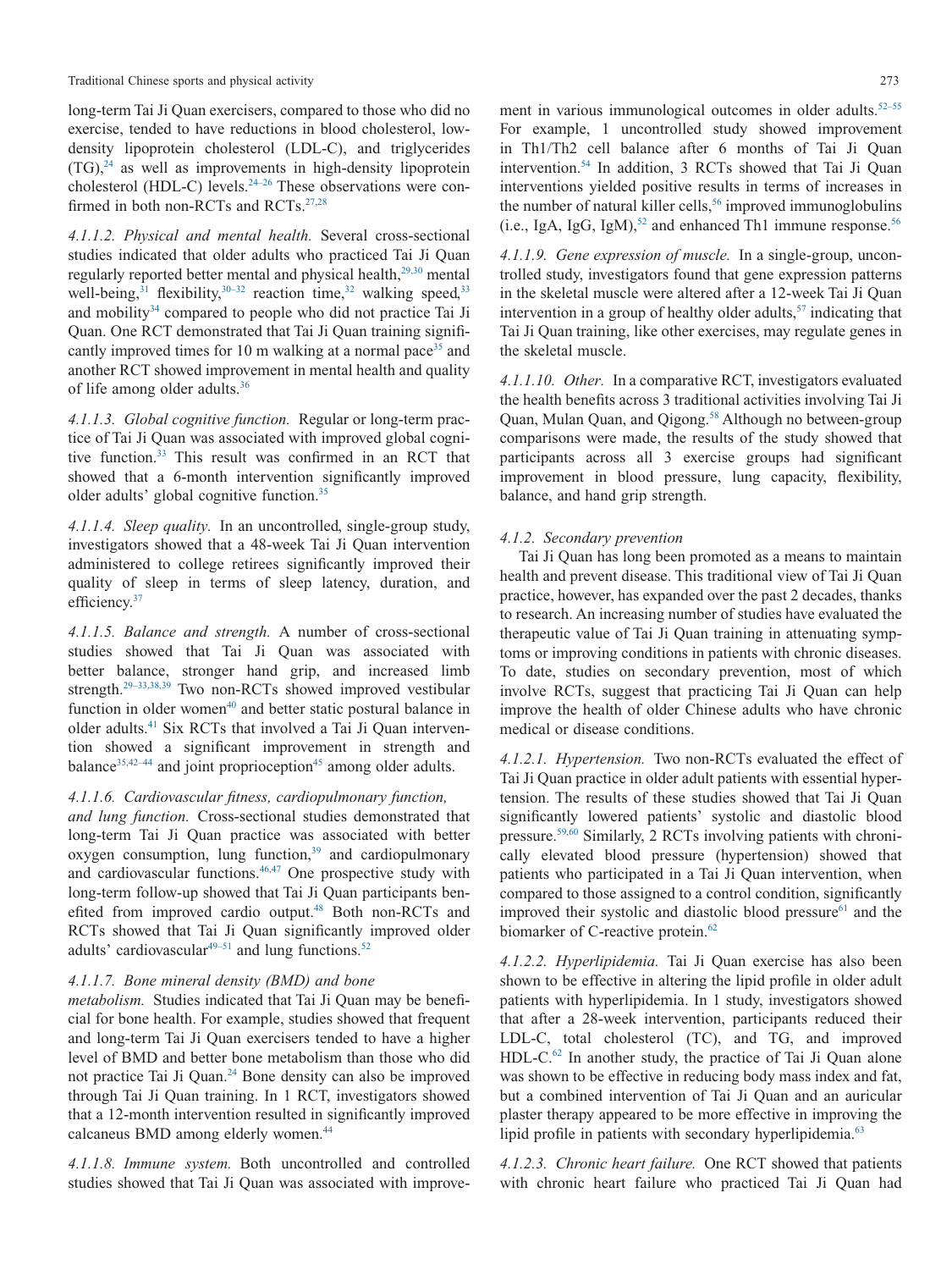long-term Tai Ji Quan exercisers, compared to those who did no exercise, tended to have reductions in blood cholesterol, lowdensity lipoprotein cholesterol (LDL-C), and triglycerides  $(TG)$ ,<sup>24</sup> as well as improvements in high-density lipoprotein cholesterol (HDL-C) levels.<sup>24-26</sup> These observations were confirmed in both non-RCTs and RCTs.<sup>27,28</sup>

*4.1.1.2. Physical and mental health.* Several cross-sectional studies indicated that older adults who practiced Tai Ji Quan regularly reported better mental and physical health,<sup>29,30</sup> mental well-being, $31$  flexibility, $30-32$  reaction time,  $32$  walking speed,  $33$ and mobility<sup>34</sup> compared to people who did not practice Tai Ji Quan. One RCT demonstrated that Tai Ji Quan training significantly improved times for 10 m walking at a normal pace<sup>35</sup> and another RCT showed improvement in mental health and quality of life among older adults[.36](#page-8-12)

*4.1.1.3. Global cognitive function.* Regular or long-term practice of Tai Ji Quan was associated with improved global cognitive function[.33](#page-8-9) This result was confirmed in an RCT that showed that a 6-month intervention significantly improved older adults' global cognitive function.<sup>35</sup>

*4.1.1.4. Sleep quality.* In an uncontrolled, single-group study, investigators showed that a 48-week Tai Ji Quan intervention administered to college retirees significantly improved their quality of sleep in terms of sleep latency, duration, and efficiency.<sup>37</sup>

*4.1.1.5. Balance and strength.* A number of cross-sectional studies showed that Tai Ji Quan was associated with better balance, stronger hand grip, and increased limb strength.<sup>29–33,38,39</sup> Two non-RCTs showed improved vestibular function in older women $40$  and better static postural balance in older adults[.41](#page-8-15) Six RCTs that involved a Tai Ji Quan intervention showed a significant improvement in strength and balance $35,42-44$  and joint proprioception<sup>45</sup> among older adults.

# *4.1.1.6. Cardiovascular fitness, cardiopulmonary function,*

*and lung function.* Cross-sectional studies demonstrated that long-term Tai Ji Quan practice was associated with better oxygen consumption, lung function,<sup>39</sup> and cardiopulmonary and cardiovascular functions.<sup>46,47</sup> One prospective study with long-term follow-up showed that Tai Ji Quan participants benefited from improved cardio output.<sup>48</sup> Both non-RCTs and RCTs showed that Tai Ji Quan significantly improved older adults' cardiovascular $49-51$  and lung functions.<sup>52</sup>

#### *4.1.1.7. Bone mineral density (BMD) and bone*

*metabolism.* Studies indicated that Tai Ji Quan may be beneficial for bone health. For example, studies showed that frequent and long-term Tai Ji Quan exercisers tended to have a higher level of BMD and better bone metabolism than those who did not practice Tai Ji Quan[.24](#page-8-3) Bone density can also be improved through Tai Ji Quan training. In 1 RCT, investigators showed that a 12-month intervention resulted in significantly improved calcaneus BMD among elderly women.<sup>44</sup>

*4.1.1.8. Immune system.* Both uncontrolled and controlled studies showed that Tai Ji Quan was associated with improve-

ment in various immunological outcomes in older adults.<sup>52–55</sup> For example, 1 uncontrolled study showed improvement in Th1/Th2 cell balance after 6 months of Tai Ji Quan intervention[.54](#page-8-23) In addition, 3 RCTs showed that Tai Ji Quan interventions yielded positive results in terms of increases in the number of natural killer cells, $56$  improved immunoglobulins (i.e., IgA, IgG, IgM),<sup>52</sup> and enhanced Th1 immune response.<sup>56</sup>

*4.1.1.9. Gene expression of muscle.* In a single-group, uncontrolled study, investigators found that gene expression patterns in the skeletal muscle were altered after a 12-week Tai Ji Quan intervention in a group of healthy older adults, $57$  indicating that Tai Ji Quan training, like other exercises, may regulate genes in the skeletal muscle.

*4.1.1.10. Other.* In a comparative RCT, investigators evaluated the health benefits across 3 traditional activities involving Tai Ji Quan, Mulan Quan, and Qigong.<sup>58</sup> Although no between-group comparisons were made, the results of the study showed that participants across all 3 exercise groups had significant improvement in blood pressure, lung capacity, flexibility, balance, and hand grip strength.

# *4.1.2. Secondary prevention*

Tai Ji Quan has long been promoted as a means to maintain health and prevent disease. This traditional view of Tai Ji Quan practice, however, has expanded over the past 2 decades, thanks to research. An increasing number of studies have evaluated the therapeutic value of Tai Ji Quan training in attenuating symptoms or improving conditions in patients with chronic diseases. To date, studies on secondary prevention, most of which involve RCTs, suggest that practicing Tai Ji Quan can help improve the health of older Chinese adults who have chronic medical or disease conditions.

*4.1.2.1. Hypertension.* Two non-RCTs evaluated the effect of Tai Ji Quan practice in older adult patients with essential hypertension. The results of these studies showed that Tai Ji Quan significantly lowered patients' systolic and diastolic blood pressure[.59,60](#page-8-27) Similarly, 2 RCTs involving patients with chronically elevated blood pressure (hypertension) showed that patients who participated in a Tai Ji Quan intervention, when compared to those assigned to a control condition, significantly improved their systolic and diastolic blood pressure $61$  and the biomarker of C-reactive protein.<sup>62</sup>

*4.1.2.2. Hyperlipidemia.* Tai Ji Quan exercise has also been shown to be effective in altering the lipid profile in older adult patients with hyperlipidemia. In 1 study, investigators showed that after a 28-week intervention, participants reduced their LDL-C, total cholesterol (TC), and TG, and improved HDL-C.<sup>62</sup> In another study, the practice of Tai Ji Quan alone was shown to be effective in reducing body mass index and fat, but a combined intervention of Tai Ji Quan and an auricular plaster therapy appeared to be more effective in improving the lipid profile in patients with secondary hyperlipidemia.<sup>63</sup>

*4.1.2.3. Chronic heart failure.* One RCT showed that patients with chronic heart failure who practiced Tai Ji Quan had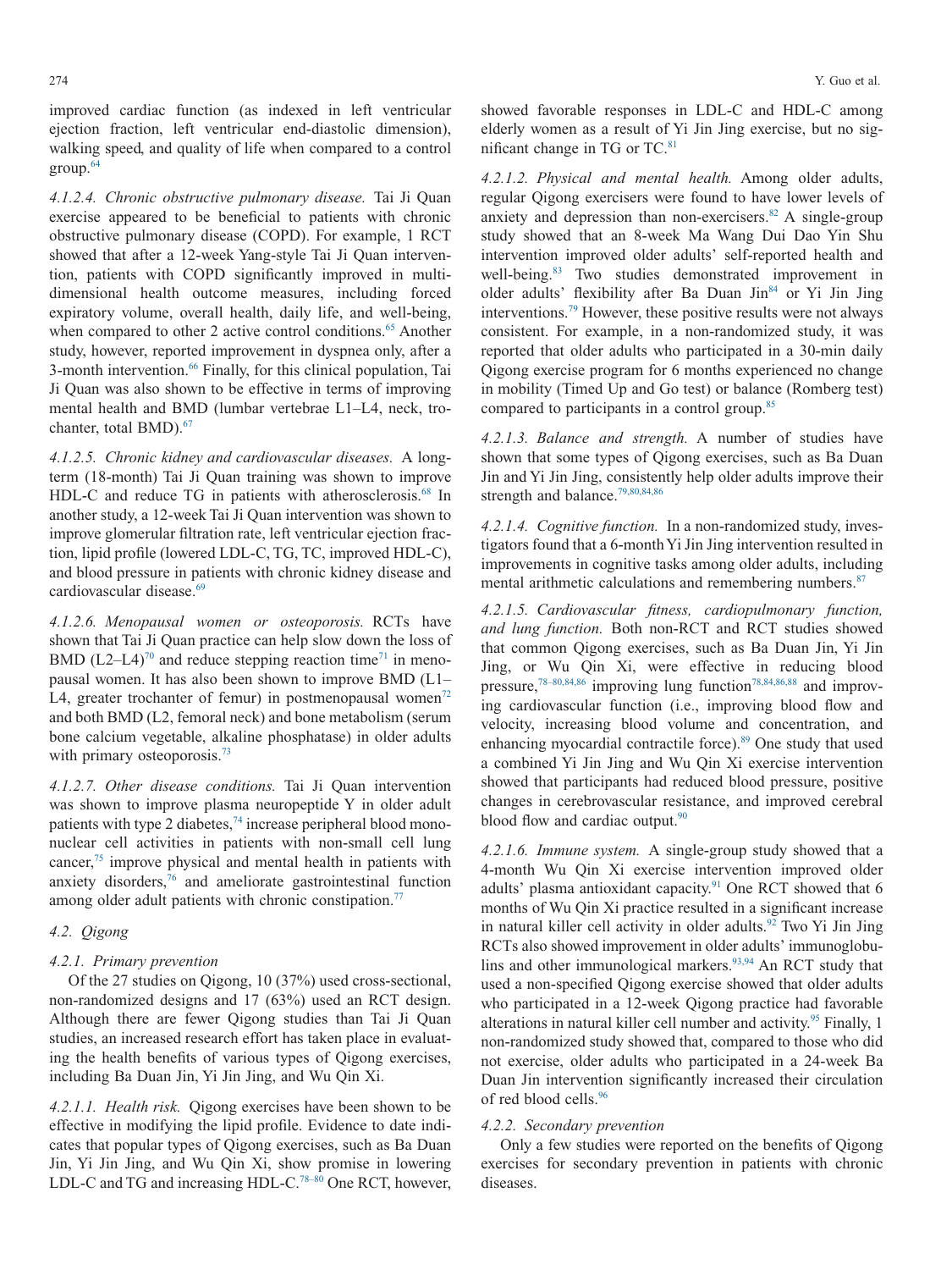improved cardiac function (as indexed in left ventricular ejection fraction, left ventricular end-diastolic dimension), walking speed, and quality of life when compared to a control group[.64](#page-9-2)

*4.1.2.4. Chronic obstructive pulmonary disease.* Tai Ji Quan exercise appeared to be beneficial to patients with chronic obstructive pulmonary disease (COPD). For example, 1 RCT showed that after a 12-week Yang-style Tai Ji Quan intervention, patients with COPD significantly improved in multidimensional health outcome measures, including forced expiratory volume, overall health, daily life, and well-being, when compared to other 2 active control conditions.<sup>65</sup> Another study, however, reported improvement in dyspnea only, after a 3-month intervention[.66](#page-9-4) Finally, for this clinical population, Tai Ji Quan was also shown to be effective in terms of improving mental health and BMD (lumbar vertebrae L1–L4, neck, trochanter, total BMD).<sup>67</sup>

*4.1.2.5. Chronic kidney and cardiovascular diseases.* A longterm (18-month) Tai Ji Quan training was shown to improve HDL-C and reduce TG in patients with atherosclerosis.<sup>68</sup> In another study, a 12-week Tai Ji Quan intervention was shown to improve glomerular filtration rate, left ventricular ejection fraction, lipid profile (lowered LDL-C, TG, TC, improved HDL-C), and blood pressure in patients with chronic kidney disease and cardiovascular disease.<sup>69</sup>

*4.1.2.6. Menopausal women or osteoporosis.* RCTs have shown that Tai Ji Quan practice can help slow down the loss of BMD  $(L2-L4)^{70}$  and reduce stepping reaction time<sup>71</sup> in menopausal women. It has also been shown to improve BMD (L1– L4, greater trochanter of femur) in postmenopausal women<sup>72</sup> and both BMD (L2, femoral neck) and bone metabolism (serum bone calcium vegetable, alkaline phosphatase) in older adults with primary osteoporosis.<sup>73</sup>

*4.1.2.7. Other disease conditions.* Tai Ji Quan intervention was shown to improve plasma neuropeptide Y in older adult patients with type 2 diabetes, $74$  increase peripheral blood mononuclear cell activities in patients with non-small cell lung cancer[,75](#page-9-13) improve physical and mental health in patients with anxiety disorders[,76](#page-9-14) and ameliorate gastrointestinal function among older adult patients with chronic constipation. $77$ 

# *4.2. Qigong*

#### *4.2.1. Primary prevention*

Of the 27 studies on Qigong, 10 (37%) used cross-sectional, non-randomized designs and 17 (63%) used an RCT design. Although there are fewer Qigong studies than Tai Ji Quan studies, an increased research effort has taken place in evaluating the health benefits of various types of Qigong exercises, including Ba Duan Jin, Yi Jin Jing, and Wu Qin Xi.

*4.2.1.1. Health risk.* Qigong exercises have been shown to be effective in modifying the lipid profile. Evidence to date indicates that popular types of Qigong exercises, such as Ba Duan Jin, Yi Jin Jing, and Wu Qin Xi, show promise in lowering LDL-C and TG and increasing HDL-C.<sup>78-80</sup> One RCT, however, showed favorable responses in LDL-C and HDL-C among elderly women as a result of Yi Jin Jing exercise, but no significant change in TG or TC.<sup>81</sup>

*4.2.1.2. Physical and mental health.* Among older adults, regular Qigong exercisers were found to have lower levels of anxiety and depression than non-exercisers. $82$  A single-group study showed that an 8-week Ma Wang Dui Dao Yin Shu intervention improved older adults' self-reported health and well-being.<sup>83</sup> Two studies demonstrated improvement in older adults' flexibility after Ba Duan Jin<sup>84</sup> or Yi Jin Jing interventions[.79](#page-9-21) However, these positive results were not always consistent. For example, in a non-randomized study, it was reported that older adults who participated in a 30-min daily Qigong exercise program for 6 months experienced no change in mobility (Timed Up and Go test) or balance (Romberg test) compared to participants in a control group[.85](#page-9-22)

*4.2.1.3. Balance and strength.* A number of studies have shown that some types of Qigong exercises, such as Ba Duan Jin and Yi Jin Jing, consistently help older adults improve their strength and balance.<sup>79,80,84,86</sup>

*4.2.1.4. Cognitive function.* In a non-randomized study, investigators found that a 6-monthYi Jin Jing intervention resulted in improvements in cognitive tasks among older adults, including mental arithmetic calculations and remembering numbers.<sup>87</sup>

*4.2.1.5. Cardiovascular fitness, cardiopulmonary function, and lung function.* Both non-RCT and RCT studies showed that common Qigong exercises, such as Ba Duan Jin, Yi Jin Jing, or Wu Qin Xi, were effective in reducing blood pressure,<sup>78–80,84,86</sup> improving lung function<sup>78,84,86,88</sup> and improving cardiovascular function (i.e., improving blood flow and velocity, increasing blood volume and concentration, and enhancing myocardial contractile force).<sup>89</sup> One study that used a combined Yi Jin Jing and Wu Qin Xi exercise intervention showed that participants had reduced blood pressure, positive changes in cerebrovascular resistance, and improved cerebral blood flow and cardiac output.<sup>90</sup>

*4.2.1.6. Immune system.* A single-group study showed that a 4-month Wu Qin Xi exercise intervention improved older adults' plasma antioxidant capacity. $91$  One RCT showed that 6 months of Wu Qin Xi practice resulted in a significant increase in natural killer cell activity in older adults.<sup>92</sup> Two Yi Jin Jing RCTs also showed improvement in older adults' immunoglobulins and other immunological markers.<sup>93,94</sup> An RCT study that used a non-specified Qigong exercise showed that older adults who participated in a 12-week Qigong practice had favorable alterations in natural killer cell number and activity.<sup>95</sup> Finally, 1 non-randomized study showed that, compared to those who did not exercise, older adults who participated in a 24-week Ba Duan Jin intervention significantly increased their circulation of red blood cells.<sup>96</sup>

#### *4.2.2. Secondary prevention*

Only a few studies were reported on the benefits of Qigong exercises for secondary prevention in patients with chronic diseases.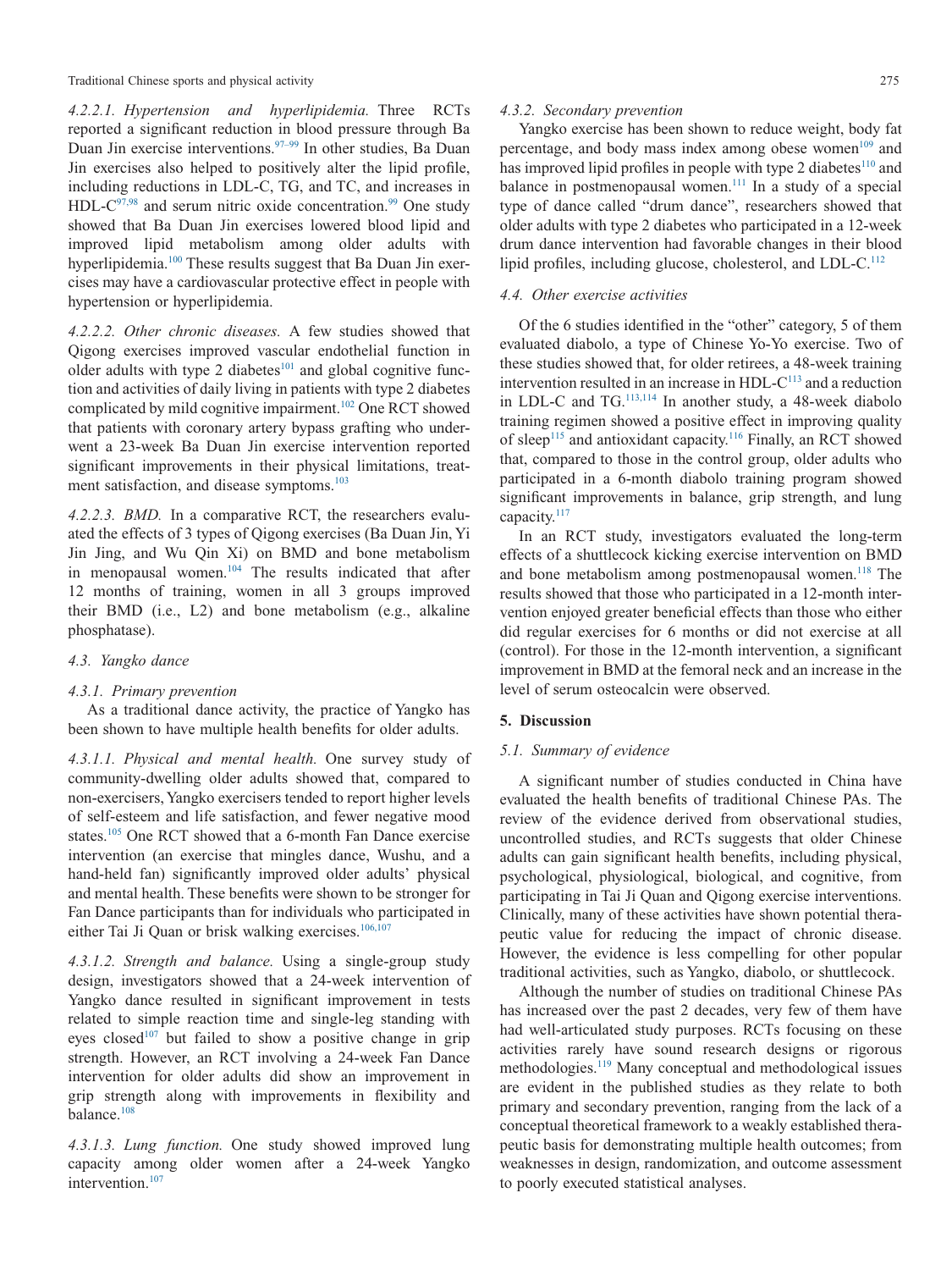Traditional Chinese sports and physical activity 275

*4.2.2.1. Hypertension and hyperlipidemia.* Three RCTs reported a significant reduction in blood pressure through Ba Duan Jin exercise interventions[.97–99](#page-9-31) In other studies, Ba Duan Jin exercises also helped to positively alter the lipid profile, including reductions in LDL-C, TG, and TC, and increases in  $HDL-C^{97,98}$  and serum nitric oxide concentration.<sup>99</sup> One study showed that Ba Duan Jin exercises lowered blood lipid and improved lipid metabolism among older adults with hyperlipidemia.<sup>100</sup> These results suggest that Ba Duan Jin exercises may have a cardiovascular protective effect in people with hypertension or hyperlipidemia.

*4.2.2.2. Other chronic diseases.* A few studies showed that Qigong exercises improved vascular endothelial function in older adults with type 2 diabetes<sup>101</sup> and global cognitive function and activities of daily living in patients with type 2 diabetes complicated by mild cognitive impairment.<sup>102</sup> One RCT showed that patients with coronary artery bypass grafting who underwent a 23-week Ba Duan Jin exercise intervention reported significant improvements in their physical limitations, treatment satisfaction, and disease symptoms.<sup>103</sup>

*4.2.2.3. BMD.* In a comparative RCT, the researchers evaluated the effects of 3 types of Qigong exercises (Ba Duan Jin, Yi Jin Jing, and Wu Qin Xi) on BMD and bone metabolism in menopausal women[.104](#page-9-37) The results indicated that after 12 months of training, women in all 3 groups improved their BMD (i.e., L2) and bone metabolism (e.g., alkaline phosphatase).

#### *4.3. Yangko dance*

# *4.3.1. Primary prevention*

As a traditional dance activity, the practice of Yangko has been shown to have multiple health benefits for older adults.

*4.3.1.1. Physical and mental health.* One survey study of community-dwelling older adults showed that, compared to non-exercisers, Yangko exercisers tended to report higher levels of self-esteem and life satisfaction, and fewer negative mood states.<sup>105</sup> One RCT showed that a 6-month Fan Dance exercise intervention (an exercise that mingles dance, Wushu, and a hand-held fan) significantly improved older adults' physical and mental health. These benefits were shown to be stronger for Fan Dance participants than for individuals who participated in either Tai Ji Quan or brisk walking exercises.<sup>106,107</sup>

*4.3.1.2. Strength and balance.* Using a single-group study design, investigators showed that a 24-week intervention of Yangko dance resulted in significant improvement in tests related to simple reaction time and single-leg standing with eyes closed<sup>107</sup> but failed to show a positive change in grip strength. However, an RCT involving a 24-week Fan Dance intervention for older adults did show an improvement in grip strength along with improvements in flexibility and balance.<sup>108</sup>

*4.3.1.3. Lung function.* One study showed improved lung capacity among older women after a 24-week Yangko intervention.<sup>107</sup>

#### *4.3.2. Secondary prevention*

Yangko exercise has been shown to reduce weight, body fat percentage, and body mass index among obese women $109$  and has improved lipid profiles in people with type 2 diabetes $110$  and balance in postmenopausal women.<sup>111</sup> In a study of a special type of dance called "drum dance", researchers showed that older adults with type 2 diabetes who participated in a 12-week drum dance intervention had favorable changes in their blood lipid profiles, including glucose, cholesterol, and LDL-C.<sup>112</sup>

# *4.4. Other exercise activities*

Of the 6 studies identified in the "other" category, 5 of them evaluated diabolo, a type of Chinese Yo-Yo exercise. Two of these studies showed that, for older retirees, a 48-week training intervention resulted in an increase in HDL- $C<sup>113</sup>$  and a reduction in LDL-C and TG[.113,114](#page-10-6) In another study, a 48-week diabolo training regimen showed a positive effect in improving quality of sleep<sup>115</sup> and antioxidant capacity.<sup>116</sup> Finally, an RCT showed that, compared to those in the control group, older adults who participated in a 6-month diabolo training program showed significant improvements in balance, grip strength, and lung capacity.<sup>117</sup>

In an RCT study, investigators evaluated the long-term effects of a shuttlecock kicking exercise intervention on BMD and bone metabolism among postmenopausal women.<sup>118</sup> The results showed that those who participated in a 12-month intervention enjoyed greater beneficial effects than those who either did regular exercises for 6 months or did not exercise at all (control). For those in the 12-month intervention, a significant improvement in BMD at the femoral neck and an increase in the level of serum osteocalcin were observed.

# **5. Discussion**

# *5.1. Summary of evidence*

A significant number of studies conducted in China have evaluated the health benefits of traditional Chinese PAs. The review of the evidence derived from observational studies, uncontrolled studies, and RCTs suggests that older Chinese adults can gain significant health benefits, including physical, psychological, physiological, biological, and cognitive, from participating in Tai Ji Quan and Qigong exercise interventions. Clinically, many of these activities have shown potential therapeutic value for reducing the impact of chronic disease. However, the evidence is less compelling for other popular traditional activities, such as Yangko, diabolo, or shuttlecock.

Although the number of studies on traditional Chinese PAs has increased over the past 2 decades, very few of them have had well-articulated study purposes. RCTs focusing on these activities rarely have sound research designs or rigorous methodologies[.119](#page-10-11) Many conceptual and methodological issues are evident in the published studies as they relate to both primary and secondary prevention, ranging from the lack of a conceptual theoretical framework to a weakly established therapeutic basis for demonstrating multiple health outcomes; from weaknesses in design, randomization, and outcome assessment to poorly executed statistical analyses.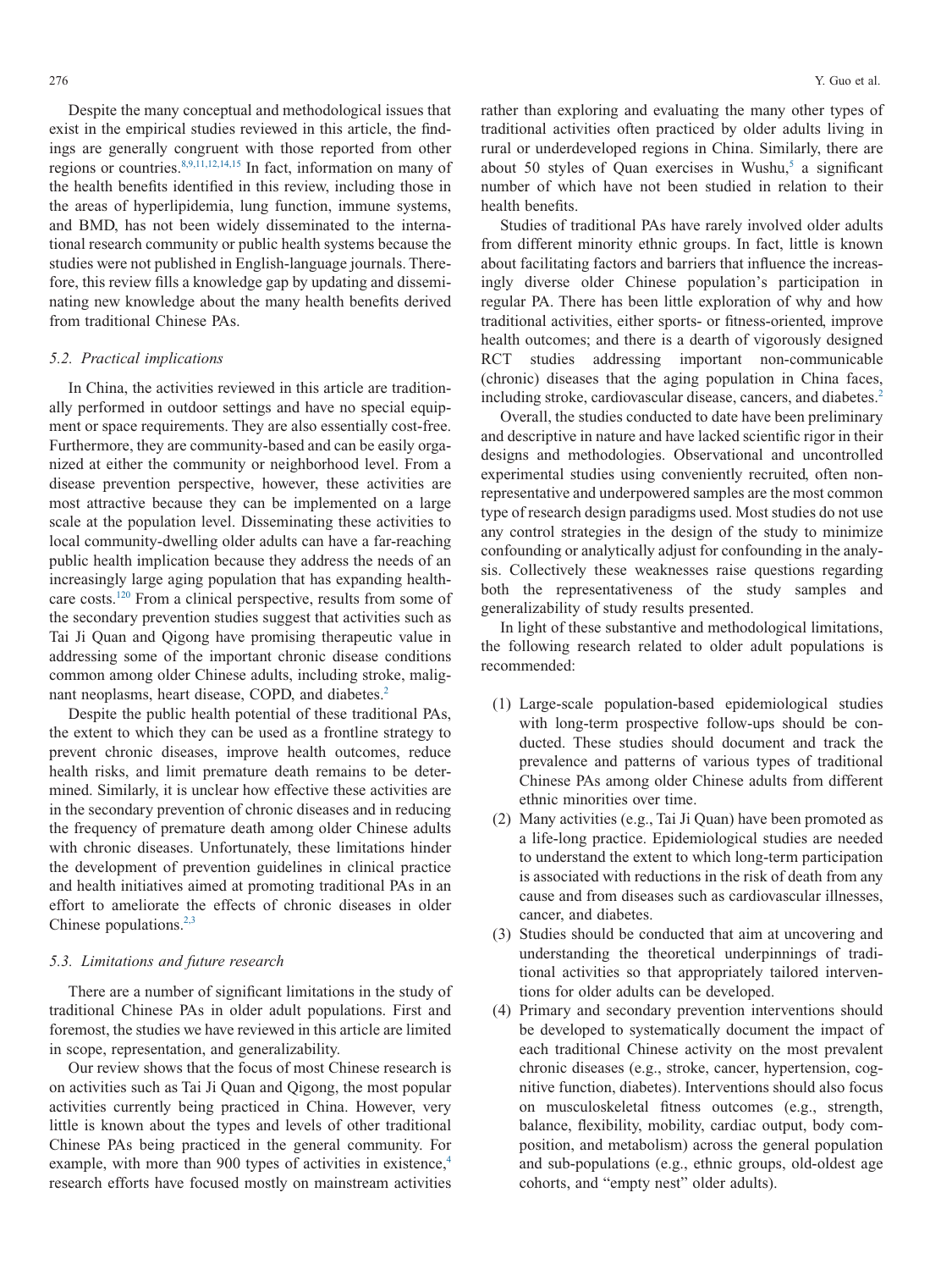Despite the many conceptual and methodological issues that exist in the empirical studies reviewed in this article, the findings are generally congruent with those reported from other regions or countries[.8,9,11,12,14,15](#page-7-6) In fact, information on many of the health benefits identified in this review, including those in the areas of hyperlipidemia, lung function, immune systems, and BMD, has not been widely disseminated to the international research community or public health systems because the studies were not published in English-language journals. Therefore, this review fills a knowledge gap by updating and disseminating new knowledge about the many health benefits derived from traditional Chinese PAs.

#### *5.2. Practical implications*

In China, the activities reviewed in this article are traditionally performed in outdoor settings and have no special equipment or space requirements. They are also essentially cost-free. Furthermore, they are community-based and can be easily organized at either the community or neighborhood level. From a disease prevention perspective, however, these activities are most attractive because they can be implemented on a large scale at the population level. Disseminating these activities to local community-dwelling older adults can have a far-reaching public health implication because they address the needs of an increasingly large aging population that has expanding healthcare costs[.120](#page-10-12) From a clinical perspective, results from some of the secondary prevention studies suggest that activities such as Tai Ji Quan and Qigong have promising therapeutic value in addressing some of the important chronic disease conditions common among older Chinese adults, including stroke, malignant neoplasms, heart disease, COPD, and diabetes.<sup>2</sup>

Despite the public health potential of these traditional PAs, the extent to which they can be used as a frontline strategy to prevent chronic diseases, improve health outcomes, reduce health risks, and limit premature death remains to be determined. Similarly, it is unclear how effective these activities are in the secondary prevention of chronic diseases and in reducing the frequency of premature death among older Chinese adults with chronic diseases. Unfortunately, these limitations hinder the development of prevention guidelines in clinical practice and health initiatives aimed at promoting traditional PAs in an effort to ameliorate the effects of chronic diseases in older Chinese populations. $2,3$ 

#### *5.3. Limitations and future research*

There are a number of significant limitations in the study of traditional Chinese PAs in older adult populations. First and foremost, the studies we have reviewed in this article are limited in scope, representation, and generalizability.

Our review shows that the focus of most Chinese research is on activities such as Tai Ji Quan and Qigong, the most popular activities currently being practiced in China. However, very little is known about the types and levels of other traditional Chinese PAs being practiced in the general community. For example, with more than 900 types of activities in existence,<sup>4</sup> research efforts have focused mostly on mainstream activities rather than exploring and evaluating the many other types of traditional activities often practiced by older adults living in rural or underdeveloped regions in China. Similarly, there are about 50 styles of Quan exercises in Wushu, $5$  a significant number of which have not been studied in relation to their health benefits.

Studies of traditional PAs have rarely involved older adults from different minority ethnic groups. In fact, little is known about facilitating factors and barriers that influence the increasingly diverse older Chinese population's participation in regular PA. There has been little exploration of why and how traditional activities, either sports- or fitness-oriented, improve health outcomes; and there is a dearth of vigorously designed RCT studies addressing important non-communicable (chronic) diseases that the aging population in China faces, including stroke, cardiovascular disease, cancers, and diabetes.<sup>2</sup>

Overall, the studies conducted to date have been preliminary and descriptive in nature and have lacked scientific rigor in their designs and methodologies. Observational and uncontrolled experimental studies using conveniently recruited, often nonrepresentative and underpowered samples are the most common type of research design paradigms used. Most studies do not use any control strategies in the design of the study to minimize confounding or analytically adjust for confounding in the analysis. Collectively these weaknesses raise questions regarding both the representativeness of the study samples and generalizability of study results presented.

In light of these substantive and methodological limitations, the following research related to older adult populations is recommended:

- (1) Large-scale population-based epidemiological studies with long-term prospective follow-ups should be conducted. These studies should document and track the prevalence and patterns of various types of traditional Chinese PAs among older Chinese adults from different ethnic minorities over time.
- (2) Many activities (e.g., Tai Ji Quan) have been promoted as a life-long practice. Epidemiological studies are needed to understand the extent to which long-term participation is associated with reductions in the risk of death from any cause and from diseases such as cardiovascular illnesses, cancer, and diabetes.
- (3) Studies should be conducted that aim at uncovering and understanding the theoretical underpinnings of traditional activities so that appropriately tailored interventions for older adults can be developed.
- (4) Primary and secondary prevention interventions should be developed to systematically document the impact of each traditional Chinese activity on the most prevalent chronic diseases (e.g., stroke, cancer, hypertension, cognitive function, diabetes). Interventions should also focus on musculoskeletal fitness outcomes (e.g., strength, balance, flexibility, mobility, cardiac output, body composition, and metabolism) across the general population and sub-populations (e.g., ethnic groups, old-oldest age cohorts, and "empty nest" older adults).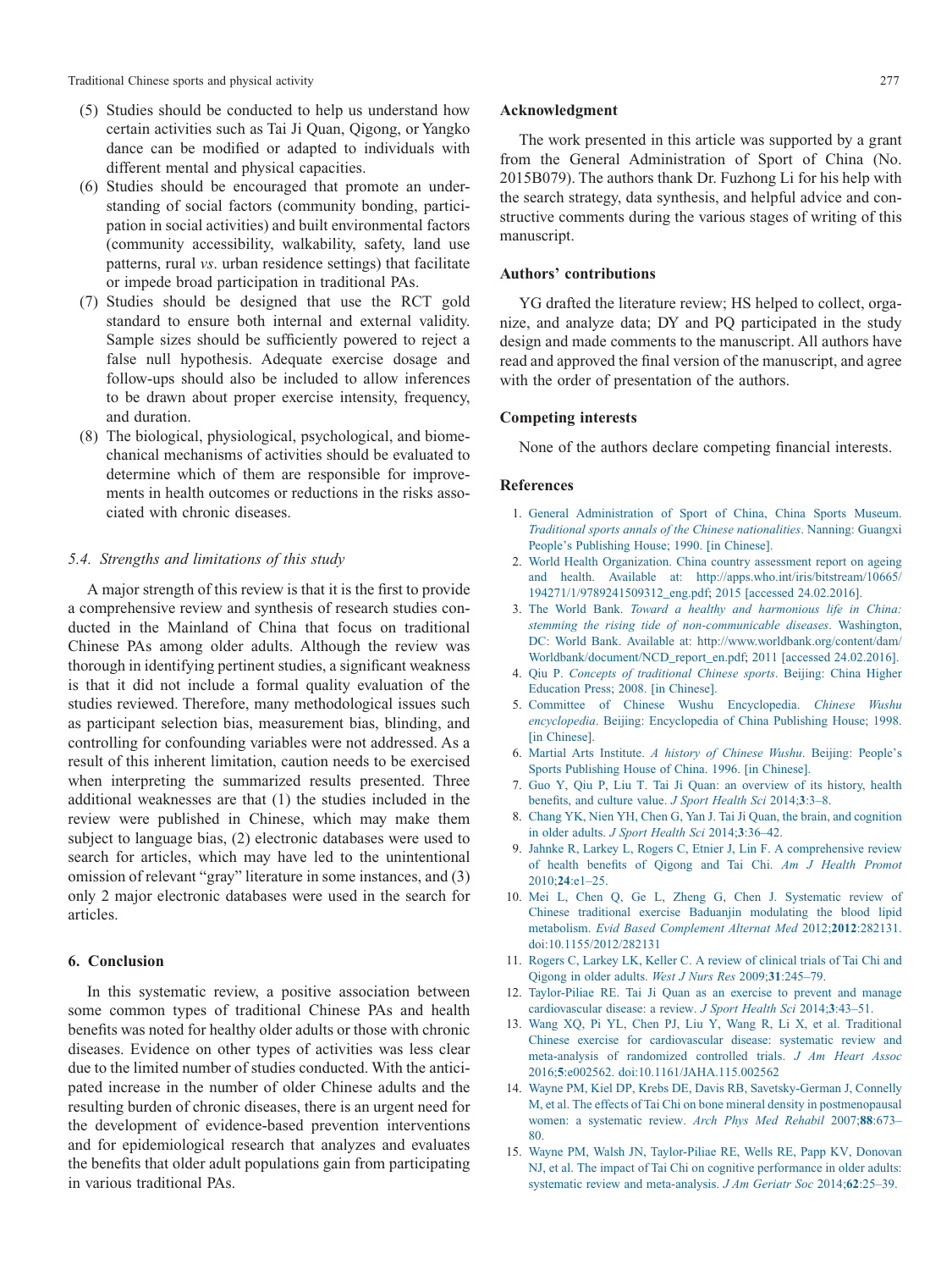Traditional Chinese sports and physical activity 277

- (5) Studies should be conducted to help us understand how certain activities such as Tai Ji Quan, Qigong, or Yangko dance can be modified or adapted to individuals with different mental and physical capacities.
- (6) Studies should be encouraged that promote an understanding of social factors (community bonding, participation in social activities) and built environmental factors (community accessibility, walkability, safety, land use patterns, rural *vs*. urban residence settings) that facilitate or impede broad participation in traditional PAs.
- (7) Studies should be designed that use the RCT gold standard to ensure both internal and external validity. Sample sizes should be sufficiently powered to reject a false null hypothesis. Adequate exercise dosage and follow-ups should also be included to allow inferences to be drawn about proper exercise intensity, frequency, and duration.
- (8) The biological, physiological, psychological, and biomechanical mechanisms of activities should be evaluated to determine which of them are responsible for improvements in health outcomes or reductions in the risks associated with chronic diseases.

#### *5.4. Strengths and limitations of this study*

A major strength of this review is that it is the first to provide a comprehensive review and synthesis of research studies conducted in the Mainland of China that focus on traditional Chinese PAs among older adults. Although the review was thorough in identifying pertinent studies, a significant weakness is that it did not include a formal quality evaluation of the studies reviewed. Therefore, many methodological issues such as participant selection bias, measurement bias, blinding, and controlling for confounding variables were not addressed. As a result of this inherent limitation, caution needs to be exercised when interpreting the summarized results presented. Three additional weaknesses are that (1) the studies included in the review were published in Chinese, which may make them subject to language bias, (2) electronic databases were used to search for articles, which may have led to the unintentional omission of relevant "gray" literature in some instances, and (3) only 2 major electronic databases were used in the search for articles.

#### **6. Conclusion**

In this systematic review, a positive association between some common types of traditional Chinese PAs and health benefits was noted for healthy older adults or those with chronic diseases. Evidence on other types of activities was less clear due to the limited number of studies conducted. With the anticipated increase in the number of older Chinese adults and the resulting burden of chronic diseases, there is an urgent need for the development of evidence-based prevention interventions and for epidemiological research that analyzes and evaluates the benefits that older adult populations gain from participating in various traditional PAs.

# **Acknowledgment**

The work presented in this article was supported by a grant from the General Administration of Sport of China (No. 2015B079). The authors thank Dr. Fuzhong Li for his help with the search strategy, data synthesis, and helpful advice and constructive comments during the various stages of writing of this manuscript.

# **Authors' contributions**

YG drafted the literature review; HS helped to collect, organize, and analyze data; DY and PQ participated in the study design and made comments to the manuscript. All authors have read and approved the final version of the manuscript, and agree with the order of presentation of the authors.

#### **Competing interests**

None of the authors declare competing financial interests.

# **References**

- <span id="page-7-0"></span>1. [General Administration of Sport of China, China Sports Museum.](http://refhub.elsevier.com/S2095-2546(16)30052-7/sr0010) *[Traditional sports annals of the Chinese nationalities](http://refhub.elsevier.com/S2095-2546(16)30052-7/sr0010)*. Nanning: Guangxi [People's Publishing House; 1990. \[in Chinese\].](http://refhub.elsevier.com/S2095-2546(16)30052-7/sr0010)
- <span id="page-7-1"></span>2. [World Health Organization. China country assessment report on ageing](http://refhub.elsevier.com/S2095-2546(16)30052-7/sr0015) and health. Available at: [http://apps.who.int/iris/bitstream/10665/](http://apps.who.int/iris/bitstream/10665/194271/1/9789241509312_eng.pdf) [194271/1/9789241509312\\_eng.pdf;](http://apps.who.int/iris/bitstream/10665/194271/1/9789241509312_eng.pdf) 2015 [accessed 24.02.2016].
- <span id="page-7-2"></span>3. The World Bank. *[Toward a healthy and harmonious life in China:](http://refhub.elsevier.com/S2095-2546(16)30052-7/sr0020) [stemming the rising tide of non-communicable diseases](http://refhub.elsevier.com/S2095-2546(16)30052-7/sr0020)*. Washington, DC: World Bank. Available at: [http://www.worldbank.org/content/dam/](http://www.worldbank.org/content/dam/Worldbank/document/NCD_report_en.pdf) [Worldbank/document/NCD\\_report\\_en.pdf;](http://www.worldbank.org/content/dam/Worldbank/document/NCD_report_en.pdf) 2011 [accessed 24.02.2016].
- <span id="page-7-3"></span>4. Qiu P. *[Concepts of traditional Chinese sports](http://refhub.elsevier.com/S2095-2546(16)30052-7/sr0025)*. Beijing: China Higher [Education Press; 2008. \[in Chinese\].](http://refhub.elsevier.com/S2095-2546(16)30052-7/sr0025)
- <span id="page-7-4"></span>5. [Committee of Chinese Wushu Encyclopedia.](http://refhub.elsevier.com/S2095-2546(16)30052-7/sr0030) *Chinese Wushu encyclopedia*[. Beijing: Encyclopedia of China Publishing House; 1998.](http://refhub.elsevier.com/S2095-2546(16)30052-7/sr0030) [\[in Chinese\].](http://refhub.elsevier.com/S2095-2546(16)30052-7/sr0030)
- <span id="page-7-7"></span>6. Martial Arts Institute. *[A history of Chinese Wushu](http://refhub.elsevier.com/S2095-2546(16)30052-7/sr0035)*. Beijing: People's [Sports Publishing House of China. 1996. \[in Chinese\].](http://refhub.elsevier.com/S2095-2546(16)30052-7/sr0035)
- <span id="page-7-5"></span>7. [Guo Y, Qiu P, Liu T. Tai Ji Quan: an overview of its history, health](http://refhub.elsevier.com/S2095-2546(16)30052-7/sr0040) [benefits, and culture value.](http://refhub.elsevier.com/S2095-2546(16)30052-7/sr0040) *J Sport Health Sci* 2014;**3**:3–8.
- <span id="page-7-6"></span>8. [Chang YK, Nien YH, Chen G, Yan J. Tai Ji Quan, the brain, and cognition](http://refhub.elsevier.com/S2095-2546(16)30052-7/sr0045) in older adults. *[J Sport Health Sci](http://refhub.elsevier.com/S2095-2546(16)30052-7/sr0045)* 2014;**3**:36–42.
- 9. [Jahnke R, Larkey L, Rogers C, Etnier J, Lin F. A comprehensive review](http://refhub.elsevier.com/S2095-2546(16)30052-7/sr0050) [of health benefits of Qigong and Tai Chi.](http://refhub.elsevier.com/S2095-2546(16)30052-7/sr0050) *Am J Health Promot* 2010;**24**[:e1–25.](http://refhub.elsevier.com/S2095-2546(16)30052-7/sr0050)
- 10. [Mei L, Chen Q, Ge L, Zheng G, Chen J. Systematic review of](http://refhub.elsevier.com/S2095-2546(16)30052-7/sr0055) [Chinese traditional exercise Baduanjin modulating the blood lipid](http://refhub.elsevier.com/S2095-2546(16)30052-7/sr0055) metabolism. *[Evid Based Complement Alternat Med](http://refhub.elsevier.com/S2095-2546(16)30052-7/sr0055)* 2012;**2012**:282131. [doi:10.1155/2012/282131](http://refhub.elsevier.com/S2095-2546(16)30052-7/sr0055)
- 11. [Rogers C, Larkey LK, Keller C. A review of clinical trials of Tai Chi and](http://refhub.elsevier.com/S2095-2546(16)30052-7/sr0060) [Qigong in older adults.](http://refhub.elsevier.com/S2095-2546(16)30052-7/sr0060) *West J Nurs Res* 2009;**31**:245–79.
- 12. [Taylor-Piliae RE. Tai Ji Quan as an exercise to prevent and manage](http://refhub.elsevier.com/S2095-2546(16)30052-7/sr0065) [cardiovascular disease: a review.](http://refhub.elsevier.com/S2095-2546(16)30052-7/sr0065) *J Sport Health Sci* 2014;**3**:43–51.
- 13. [Wang XQ, Pi YL, Chen PJ, Liu Y, Wang R, Li X, et al. Traditional](http://refhub.elsevier.com/S2095-2546(16)30052-7/sr0070) [Chinese exercise for cardiovascular disease: systematic review and](http://refhub.elsevier.com/S2095-2546(16)30052-7/sr0070) [meta-analysis of randomized controlled trials.](http://refhub.elsevier.com/S2095-2546(16)30052-7/sr0070) *J Am Heart Assoc* 2016;**5**[:e002562. doi:10.1161/JAHA.115.002562](http://refhub.elsevier.com/S2095-2546(16)30052-7/sr0070)
- 14. [Wayne PM, Kiel DP, Krebs DE, Davis RB, Savetsky-German J, Connelly](http://refhub.elsevier.com/S2095-2546(16)30052-7/sr0075) [M, et al. The effects of Tai Chi on bone mineral density in postmenopausal](http://refhub.elsevier.com/S2095-2546(16)30052-7/sr0075) [women: a systematic review.](http://refhub.elsevier.com/S2095-2546(16)30052-7/sr0075) *Arch Phys Med Rehabil* 2007;**88**:673– [80.](http://refhub.elsevier.com/S2095-2546(16)30052-7/sr0075)
- 15. [Wayne PM, Walsh JN, Taylor-Piliae RE, Wells RE, Papp KV, Donovan](http://refhub.elsevier.com/S2095-2546(16)30052-7/sr0080) [NJ, et al. The impact of Tai Chi on cognitive performance in older adults:](http://refhub.elsevier.com/S2095-2546(16)30052-7/sr0080) [systematic review and meta-analysis.](http://refhub.elsevier.com/S2095-2546(16)30052-7/sr0080) *J Am Geriatr Soc* 2014;**62**:25–39.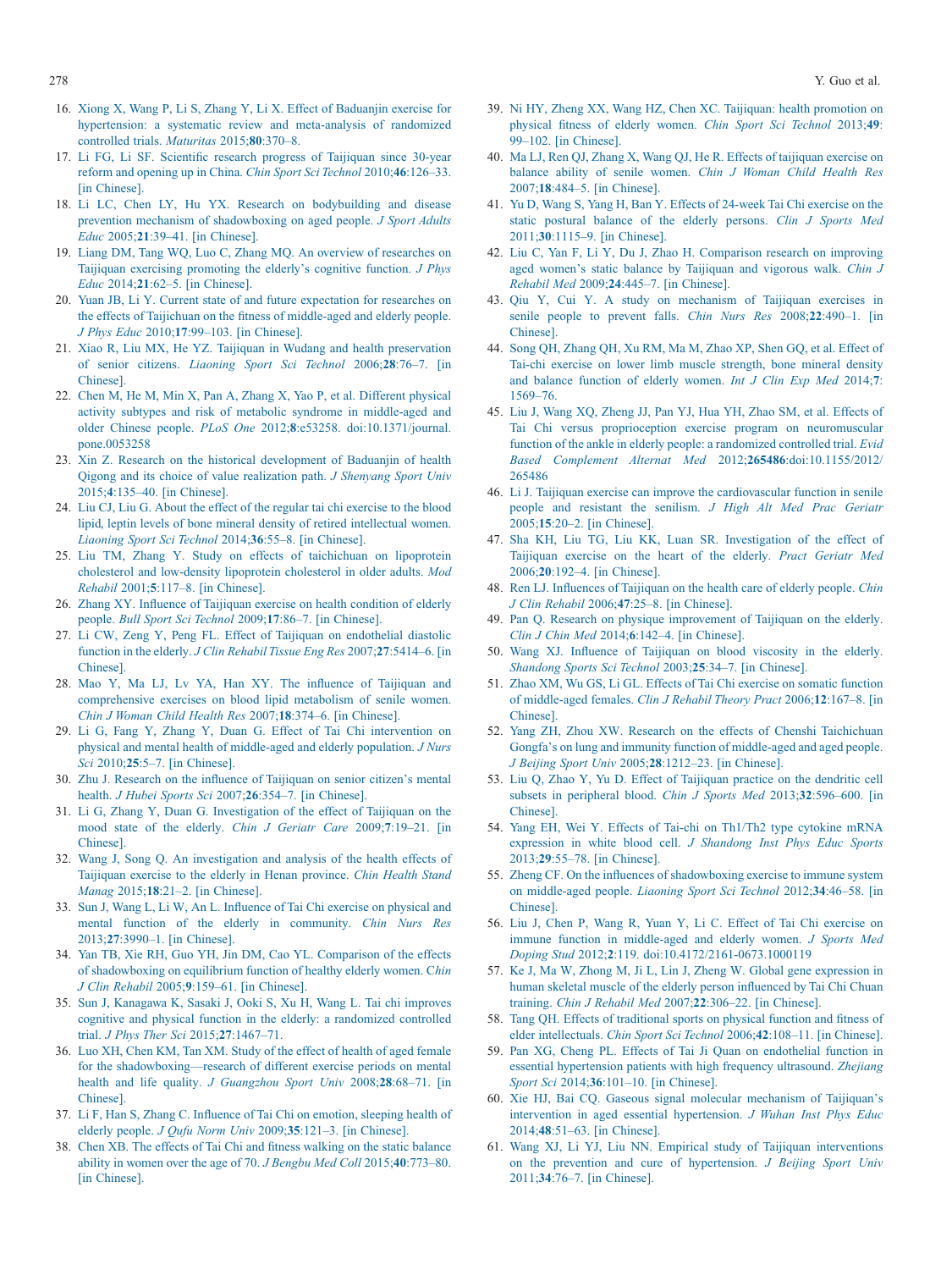- 16. [Xiong X, Wang P, Li S, Zhang Y, Li X. Effect of Baduanjin exercise for](http://refhub.elsevier.com/S2095-2546(16)30052-7/sr0085) [hypertension: a systematic review and meta-analysis of randomized](http://refhub.elsevier.com/S2095-2546(16)30052-7/sr0085) [controlled trials.](http://refhub.elsevier.com/S2095-2546(16)30052-7/sr0085) *Maturitas* 2015;**80**:370–8.
- <span id="page-8-0"></span>17. [Li FG, Li SF. Scientific research progress of Taijiquan since 30-year](http://refhub.elsevier.com/S2095-2546(16)30052-7/sr0090) [reform and opening up in China.](http://refhub.elsevier.com/S2095-2546(16)30052-7/sr0090) *Chin Sport Sci Technol* 2010;**46**:126–33. [\[in Chinese\].](http://refhub.elsevier.com/S2095-2546(16)30052-7/sr0090)
- 18. [Li LC, Chen LY, Hu YX. Research on bodybuilding and disease](http://refhub.elsevier.com/S2095-2546(16)30052-7/sr0095) [prevention mechanism of shadowboxing on aged people.](http://refhub.elsevier.com/S2095-2546(16)30052-7/sr0095) *J Sport Adults Educ* 2005;**21**[:39–41. \[in Chinese\].](http://refhub.elsevier.com/S2095-2546(16)30052-7/sr0095)
- 19. [Liang DM, Tang WQ, Luo C, Zhang MQ. An overview of researches on](http://refhub.elsevier.com/S2095-2546(16)30052-7/sr0100) [Taijiquan exercising promoting the elderly's cognitive function.](http://refhub.elsevier.com/S2095-2546(16)30052-7/sr0100) *J Phys Educ* 2014;**21**[:62–5. \[in Chinese\].](http://refhub.elsevier.com/S2095-2546(16)30052-7/sr0100)
- 20. [Yuan JB, Li Y. Current state of and future expectation for researches on](http://refhub.elsevier.com/S2095-2546(16)30052-7/sr0105) [the effects of Taijichuan on the fitness of middle-aged and elderly people.](http://refhub.elsevier.com/S2095-2546(16)30052-7/sr0105) *J Phys Educ* 2010;**17**[:99–103. \[in Chinese\].](http://refhub.elsevier.com/S2095-2546(16)30052-7/sr0105)
- 21. [Xiao R, Liu MX, He YZ. Taijiquan in Wudang and health preservation](http://refhub.elsevier.com/S2095-2546(16)30052-7/sr0110) of senior citizens. *[Liaoning Sport Sci Technol](http://refhub.elsevier.com/S2095-2546(16)30052-7/sr0110)* 2006;**28**:76–7. [in [Chinese\].](http://refhub.elsevier.com/S2095-2546(16)30052-7/sr0110)
- <span id="page-8-1"></span>22. [Chen M, He M, Min X, Pan A, Zhang X, Yao P, et al. Different physical](http://refhub.elsevier.com/S2095-2546(16)30052-7/sr0115) [activity subtypes and risk of metabolic syndrome in middle-aged and](http://refhub.elsevier.com/S2095-2546(16)30052-7/sr0115) older Chinese people. *PLoS One* 2012;**8**[:e53258. doi:10.1371/journal.](http://refhub.elsevier.com/S2095-2546(16)30052-7/sr0115) [pone.0053258](http://refhub.elsevier.com/S2095-2546(16)30052-7/sr0115)
- <span id="page-8-2"></span>23. [Xin Z. Research on the historical development of Baduanjin of health](http://refhub.elsevier.com/S2095-2546(16)30052-7/sr0120) [Qigong and its choice of value realization path.](http://refhub.elsevier.com/S2095-2546(16)30052-7/sr0120) *J Shenyang Sport Univ* 2015;**4**[:135–40. \[in Chinese\].](http://refhub.elsevier.com/S2095-2546(16)30052-7/sr0120)
- <span id="page-8-3"></span>24. [Liu CJ, Liu G. About the effect of the regular tai chi exercise to the blood](http://refhub.elsevier.com/S2095-2546(16)30052-7/sr0125) [lipid, leptin levels of bone mineral density of retired intellectual women.](http://refhub.elsevier.com/S2095-2546(16)30052-7/sr0125) *[Liaoning Sport Sci Technol](http://refhub.elsevier.com/S2095-2546(16)30052-7/sr0125)* 2014;**36**:55–8. [in Chinese].
- 25. [Liu TM, Zhang Y. Study on effects of taichichuan on lipoprotein](http://refhub.elsevier.com/S2095-2546(16)30052-7/sr0130) [cholesterol and low-density lipoprotein cholesterol in older adults.](http://refhub.elsevier.com/S2095-2546(16)30052-7/sr0130) *Mod Rehabil* 2001;**5**[:117–8. \[in Chinese\].](http://refhub.elsevier.com/S2095-2546(16)30052-7/sr0130)
- 26. [Zhang XY. Influence of Taijiquan exercise on health condition of elderly](http://refhub.elsevier.com/S2095-2546(16)30052-7/sr0135) people. *[Bull Sport Sci Technol](http://refhub.elsevier.com/S2095-2546(16)30052-7/sr0135)* 2009;**17**:86–7. [in Chinese].
- <span id="page-8-4"></span>27. [Li CW, Zeng Y, Peng FL. Effect of Taijiquan on endothelial diastolic](http://refhub.elsevier.com/S2095-2546(16)30052-7/sr0140) function in the elderly. *[J Clin Rehabil Tissue Eng Res](http://refhub.elsevier.com/S2095-2546(16)30052-7/sr0140)* 2007;**27**:5414–6. [in [Chinese\].](http://refhub.elsevier.com/S2095-2546(16)30052-7/sr0140)
- 28. [Mao Y, Ma LJ, Lv YA, Han XY. The influence of Taijiquan and](http://refhub.elsevier.com/S2095-2546(16)30052-7/sr0145) [comprehensive exercises on blood lipid metabolism of senile women.](http://refhub.elsevier.com/S2095-2546(16)30052-7/sr0145) *[Chin J Woman Child Health Res](http://refhub.elsevier.com/S2095-2546(16)30052-7/sr0145)* 2007;**18**:374–6. [in Chinese].
- <span id="page-8-5"></span>29. [Li G, Fang Y, Zhang Y, Duan G. Effect of Tai Chi intervention on](http://refhub.elsevier.com/S2095-2546(16)30052-7/sr0150) [physical and mental health of middle-aged and elderly population.](http://refhub.elsevier.com/S2095-2546(16)30052-7/sr0150) *J Nurs Sci* 2010;**25**[:5–7. \[in Chinese\].](http://refhub.elsevier.com/S2095-2546(16)30052-7/sr0150)
- <span id="page-8-7"></span>30. [Zhu J. Research on the influence of Taijiquan on senior citizen's mental](http://refhub.elsevier.com/S2095-2546(16)30052-7/sr0155) health. *J Hubei Sports Sci* 2007;**26**[:354–7. \[in Chinese\].](http://refhub.elsevier.com/S2095-2546(16)30052-7/sr0155)
- <span id="page-8-6"></span>31. [Li G, Zhang Y, Duan G. Investigation of the effect of Taijiquan on the](http://refhub.elsevier.com/S2095-2546(16)30052-7/sr0160) [mood state of the elderly.](http://refhub.elsevier.com/S2095-2546(16)30052-7/sr0160) *Chin J Geriatr Care* 2009;**7**:19–21. [in [Chinese\].](http://refhub.elsevier.com/S2095-2546(16)30052-7/sr0160)
- <span id="page-8-8"></span>32. [Wang J, Song Q. An investigation and analysis of the health effects of](http://refhub.elsevier.com/S2095-2546(16)30052-7/sr0165) [Taijiquan exercise to the elderly in Henan province.](http://refhub.elsevier.com/S2095-2546(16)30052-7/sr0165) *Chin Health Stand Manag* 2015;**18**[:21–2. \[in Chinese\].](http://refhub.elsevier.com/S2095-2546(16)30052-7/sr0165)
- <span id="page-8-9"></span>33. [Sun J, Wang L, Li W, An L. Influence of Tai Chi exercise on physical and](http://refhub.elsevier.com/S2095-2546(16)30052-7/sr0170) [mental function of the elderly in community.](http://refhub.elsevier.com/S2095-2546(16)30052-7/sr0170) *Chin Nurs Res* 2013;**27**[:3990–1. \[in Chinese\].](http://refhub.elsevier.com/S2095-2546(16)30052-7/sr0170)
- <span id="page-8-10"></span>34. [Yan TB, Xie RH, Guo YH, Jin DM, Cao YL. Comparison of the effects](http://refhub.elsevier.com/S2095-2546(16)30052-7/sr0175) [of shadowboxing on equilibrium function of healthy elderly women. C](http://refhub.elsevier.com/S2095-2546(16)30052-7/sr0175)*hin J Clin Rehabil* 2005;**9**[:159–61. \[in Chinese\].](http://refhub.elsevier.com/S2095-2546(16)30052-7/sr0175)
- <span id="page-8-11"></span>35. [Sun J, Kanagawa K, Sasaki J, Ooki S, Xu H, Wang L. Tai chi improves](http://refhub.elsevier.com/S2095-2546(16)30052-7/sr0180) [cognitive and physical function in the elderly: a randomized controlled](http://refhub.elsevier.com/S2095-2546(16)30052-7/sr0180) trial. *[J Phys Ther Sci](http://refhub.elsevier.com/S2095-2546(16)30052-7/sr0180)* 2015;**27**:1467–71.
- <span id="page-8-12"></span>36. [Luo XH, Chen KM, Tan XM. Study of the effect of health of aged female](http://refhub.elsevier.com/S2095-2546(16)30052-7/sr0185) [for the shadowboxing—research of different exercise periods on mental](http://refhub.elsevier.com/S2095-2546(16)30052-7/sr0185) health and life quality. *[J Guangzhou Sport Univ](http://refhub.elsevier.com/S2095-2546(16)30052-7/sr0185)* 2008;**28**:68–71. [in [Chinese\].](http://refhub.elsevier.com/S2095-2546(16)30052-7/sr0185)
- <span id="page-8-13"></span>37. [Li F, Han S, Zhang C. Influence of Tai Chi on emotion, sleeping health of](http://refhub.elsevier.com/S2095-2546(16)30052-7/sr0190) elderly people. *J Qufu Norm Univ* 2009;**35**[:121–3. \[in Chinese\].](http://refhub.elsevier.com/S2095-2546(16)30052-7/sr0190)
- 38. [Chen XB. The effects of Tai Chi and fitness walking on the static balance](http://refhub.elsevier.com/S2095-2546(16)30052-7/sr0195) [ability in women over the age of 70.](http://refhub.elsevier.com/S2095-2546(16)30052-7/sr0195) *J Bengbu Med Coll* 2015;**40**:773–80. [\[in Chinese\].](http://refhub.elsevier.com/S2095-2546(16)30052-7/sr0195)
- <span id="page-8-17"></span>39. [Ni HY, Zheng XX, Wang HZ, Chen XC. Taijiquan: health promotion on](http://refhub.elsevier.com/S2095-2546(16)30052-7/sr0200) [physical fitness of elderly women.](http://refhub.elsevier.com/S2095-2546(16)30052-7/sr0200) *Chin Sport Sci Technol* 2013;**49**: [99–102. \[in Chinese\].](http://refhub.elsevier.com/S2095-2546(16)30052-7/sr0200)
- <span id="page-8-14"></span>40. [Ma LJ, Ren QJ, Zhang X, Wang QJ, He R. Effects of taijiquan exercise on](http://refhub.elsevier.com/S2095-2546(16)30052-7/sr0205) balance ability of senile women. *[Chin J Woman Child Health Res](http://refhub.elsevier.com/S2095-2546(16)30052-7/sr0205)* 2007;**18**[:484–5. \[in Chinese\].](http://refhub.elsevier.com/S2095-2546(16)30052-7/sr0205)
- <span id="page-8-15"></span>41. [Yu D, Wang S, Yang H, Ban Y. Effects of 24-week Tai Chi exercise on the](http://refhub.elsevier.com/S2095-2546(16)30052-7/sr0210) [static postural balance of the elderly persons.](http://refhub.elsevier.com/S2095-2546(16)30052-7/sr0210) *Clin J Sports Med* 2011;**30**[:1115–9. \[in Chinese\].](http://refhub.elsevier.com/S2095-2546(16)30052-7/sr0210)
- 42. [Liu C, Yan F, Li Y, Du J, Zhao H. Comparison research on improving](http://refhub.elsevier.com/S2095-2546(16)30052-7/sr0215) [aged women's static balance by Taijiquan and vigorous walk.](http://refhub.elsevier.com/S2095-2546(16)30052-7/sr0215) *Chin J Rehabil Med* 2009;**24**[:445–7. \[in Chinese\].](http://refhub.elsevier.com/S2095-2546(16)30052-7/sr0215)
- 43. [Qiu Y, Cui Y. A study on mechanism of Taijiquan exercises in](http://refhub.elsevier.com/S2095-2546(16)30052-7/sr0220) [senile people to prevent falls.](http://refhub.elsevier.com/S2095-2546(16)30052-7/sr0220) *Chin Nurs Res* 2008;**22**:490–1. [in [Chinese\].](http://refhub.elsevier.com/S2095-2546(16)30052-7/sr0220)
- <span id="page-8-22"></span>44. [Song QH, Zhang QH, Xu RM, Ma M, Zhao XP, Shen GQ, et al. Effect of](http://refhub.elsevier.com/S2095-2546(16)30052-7/sr0225) [Tai-chi exercise on lower limb muscle strength, bone mineral density](http://refhub.elsevier.com/S2095-2546(16)30052-7/sr0225) [and balance function of elderly women.](http://refhub.elsevier.com/S2095-2546(16)30052-7/sr0225) *Int J Clin Exp Med* 2014;**7**: [1569–76.](http://refhub.elsevier.com/S2095-2546(16)30052-7/sr0225)
- <span id="page-8-16"></span>45. [Liu J, Wang XQ, Zheng JJ, Pan YJ, Hua YH, Zhao SM, et al. Effects of](http://refhub.elsevier.com/S2095-2546(16)30052-7/sr0230) [Tai Chi versus proprioception exercise program on neuromuscular](http://refhub.elsevier.com/S2095-2546(16)30052-7/sr0230) [function of the ankle in elderly people: a randomized controlled trial.](http://refhub.elsevier.com/S2095-2546(16)30052-7/sr0230) *Evid [Based Complement Alternat Med](http://refhub.elsevier.com/S2095-2546(16)30052-7/sr0230)* 2012;**265486**:doi:10.1155/2012/ [265486](http://refhub.elsevier.com/S2095-2546(16)30052-7/sr0230)
- <span id="page-8-18"></span>46. [Li J. Taijiquan exercise can improve the cardiovascular function in senile](http://refhub.elsevier.com/S2095-2546(16)30052-7/sr0235) [people and resistant the senilism.](http://refhub.elsevier.com/S2095-2546(16)30052-7/sr0235) *J High Alt Med Prac Geriatr* 2005;**15**[:20–2. \[in Chinese\].](http://refhub.elsevier.com/S2095-2546(16)30052-7/sr0235)
- 47. [Sha KH, Liu TG, Liu KK, Luan SR. Investigation of the effect of](http://refhub.elsevier.com/S2095-2546(16)30052-7/sr0240) [Taijiquan exercise on the heart of the elderly.](http://refhub.elsevier.com/S2095-2546(16)30052-7/sr0240) *Pract Geriatr Med* 2006;**20**[:192–4. \[in Chinese\].](http://refhub.elsevier.com/S2095-2546(16)30052-7/sr0240)
- <span id="page-8-19"></span>48. [Ren LJ. Influences of Taijiquan on the health care of elderly people.](http://refhub.elsevier.com/S2095-2546(16)30052-7/sr0245) *Chin J Clin Rehabil* 2006;**47**[:25–8. \[in Chinese\].](http://refhub.elsevier.com/S2095-2546(16)30052-7/sr0245)
- <span id="page-8-20"></span>49. [Pan Q. Research on physique improvement of Taijiquan on the elderly.](http://refhub.elsevier.com/S2095-2546(16)30052-7/sr0250) *Clin J Chin Med* 2014;**6**[:142–4. \[in Chinese\].](http://refhub.elsevier.com/S2095-2546(16)30052-7/sr0250)
- 50. [Wang XJ. Influence of Taijiquan on blood viscosity in the elderly.](http://refhub.elsevier.com/S2095-2546(16)30052-7/sr0255) *[Shandong Sports Sci Technol](http://refhub.elsevier.com/S2095-2546(16)30052-7/sr0255)* 2003;**25**:34–7. [in Chinese].
- 51. [Zhao XM, Wu GS, Li GL. Effects of Tai Chi exercise on somatic function](http://refhub.elsevier.com/S2095-2546(16)30052-7/sr0260) of middle-aged females. *[Clin J Rehabil Theory Pract](http://refhub.elsevier.com/S2095-2546(16)30052-7/sr0260)* 2006;**12**:167–8. [in [Chinese\].](http://refhub.elsevier.com/S2095-2546(16)30052-7/sr0260)
- <span id="page-8-21"></span>52. [Yang ZH, Zhou XW. Research on the effects of Chenshi Taichichuan](http://refhub.elsevier.com/S2095-2546(16)30052-7/sr0265) [Gongfa's on lung and immunity function of middle-aged and aged people.](http://refhub.elsevier.com/S2095-2546(16)30052-7/sr0265) *J Beijing Sport Univ* 2005;**28**[:1212–23. \[in Chinese\].](http://refhub.elsevier.com/S2095-2546(16)30052-7/sr0265)
- 53. [Liu Q, Zhao Y, Yu D. Effect of Taijiquan practice on the dendritic cell](http://refhub.elsevier.com/S2095-2546(16)30052-7/sr0270) [subsets in peripheral blood.](http://refhub.elsevier.com/S2095-2546(16)30052-7/sr0270) *Chin J Sports Med* 2013;**32**:596–600. [in [Chinese\].](http://refhub.elsevier.com/S2095-2546(16)30052-7/sr0270)
- <span id="page-8-23"></span>54. [Yang EH, Wei Y. Effects of Tai-chi on Th1/Th2 type cytokine mRNA](http://refhub.elsevier.com/S2095-2546(16)30052-7/sr0275) expression in white blood cell. *[J Shandong Inst Phys Educ Sports](http://refhub.elsevier.com/S2095-2546(16)30052-7/sr0275)* 2013;**29**[:55–78. \[in Chinese\].](http://refhub.elsevier.com/S2095-2546(16)30052-7/sr0275)
- 55. [Zheng CF. On the influences of shadowboxing exercise to immune system](http://refhub.elsevier.com/S2095-2546(16)30052-7/sr0280) on middle-aged people. *[Liaoning Sport Sci Technol](http://refhub.elsevier.com/S2095-2546(16)30052-7/sr0280)* 2012;**34**:46–58. [in [Chinese\].](http://refhub.elsevier.com/S2095-2546(16)30052-7/sr0280)
- <span id="page-8-24"></span>56. [Liu J, Chen P, Wang R, Yuan Y, Li C. Effect of Tai Chi exercise on](http://refhub.elsevier.com/S2095-2546(16)30052-7/sr0285) [immune function in middle-aged and elderly women.](http://refhub.elsevier.com/S2095-2546(16)30052-7/sr0285) *J Sports Med Doping Stud* 2012;**2**[:119. doi:10.4172/2161-0673.1000119](http://refhub.elsevier.com/S2095-2546(16)30052-7/sr0285)
- <span id="page-8-25"></span>57. [Ke J, Ma W, Zhong M, Ji L, Lin J, Zheng W. Global gene expression in](http://refhub.elsevier.com/S2095-2546(16)30052-7/sr0290) [human skeletal muscle of the elderly person influenced by Tai Chi Chuan](http://refhub.elsevier.com/S2095-2546(16)30052-7/sr0290) training. *Chin J Rehabil Med* 2007;**22**[:306–22. \[in Chinese\].](http://refhub.elsevier.com/S2095-2546(16)30052-7/sr0290)
- <span id="page-8-26"></span>58. [Tang QH. Effects of traditional sports on physical function and fitness of](http://refhub.elsevier.com/S2095-2546(16)30052-7/sr0295) elder intellectuals. *[Chin Sport Sci Technol](http://refhub.elsevier.com/S2095-2546(16)30052-7/sr0295)* 2006;**42**:108–11. [in Chinese].
- <span id="page-8-27"></span>59. [Pan XG, Cheng PL. Effects of Tai Ji Quan on endothelial function in](http://refhub.elsevier.com/S2095-2546(16)30052-7/sr0300) [essential hypertension patients with high frequency ultrasound.](http://refhub.elsevier.com/S2095-2546(16)30052-7/sr0300) *Zhejiang Sport Sci* 2014;**36**[:101–10. \[in Chinese\].](http://refhub.elsevier.com/S2095-2546(16)30052-7/sr0300)
- 60. [Xie HJ, Bai CQ. Gaseous signal molecular mechanism of Taijiquan's](http://refhub.elsevier.com/S2095-2546(16)30052-7/sr0305) [intervention in aged essential hypertension.](http://refhub.elsevier.com/S2095-2546(16)30052-7/sr0305) *J Wuhan Inst Phys Educ* 2014;**48**[:51–63. \[in Chinese\].](http://refhub.elsevier.com/S2095-2546(16)30052-7/sr0305)
- <span id="page-8-28"></span>61. [Wang XJ, Li YJ, Liu NN. Empirical study of Taijiquan interventions](http://refhub.elsevier.com/S2095-2546(16)30052-7/sr0310) [on the prevention and cure of hypertension.](http://refhub.elsevier.com/S2095-2546(16)30052-7/sr0310) *J Beijing Sport Univ* 2011;**34**[:76–7. \[in Chinese\].](http://refhub.elsevier.com/S2095-2546(16)30052-7/sr0310)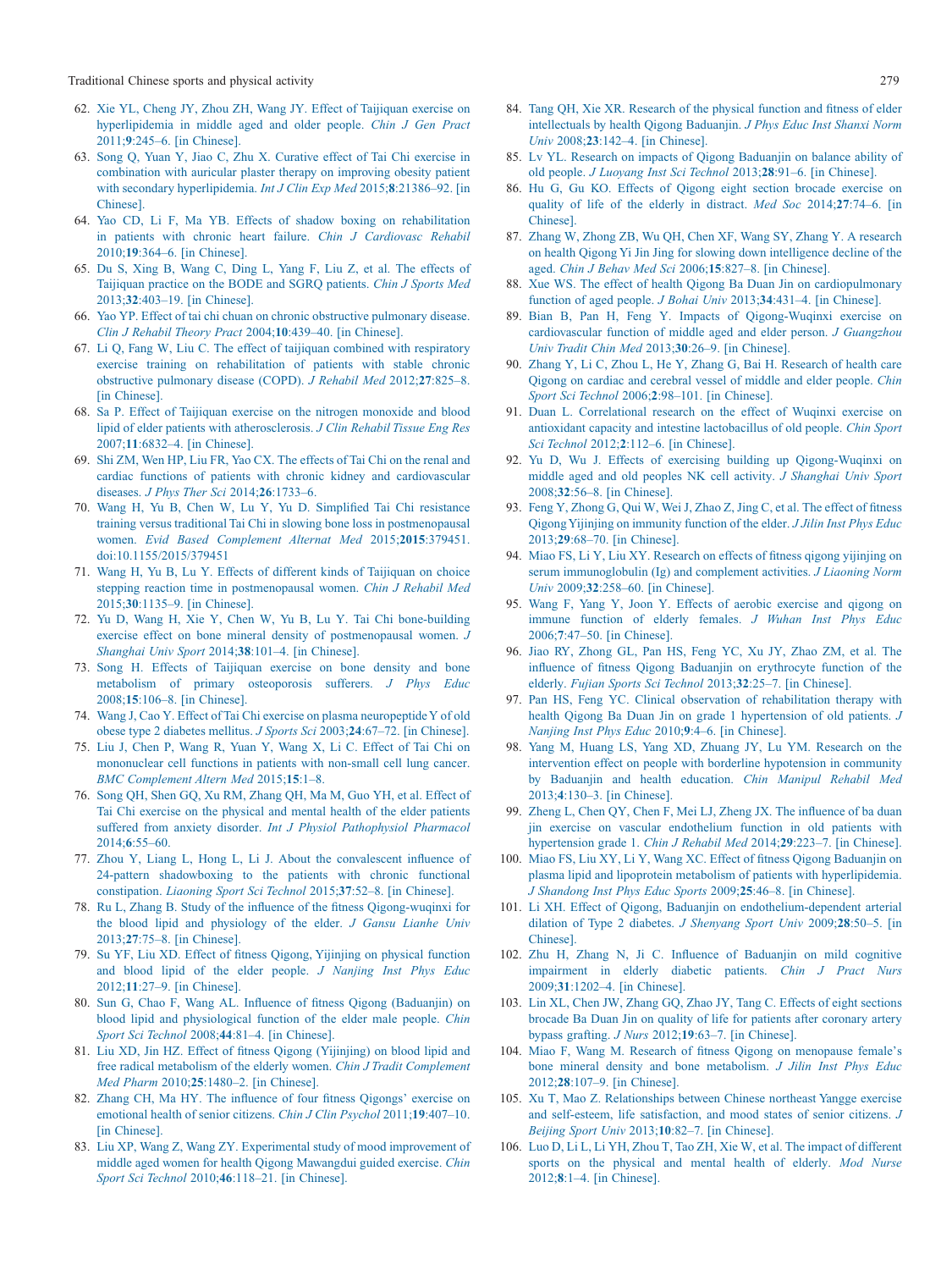Traditional Chinese sports and physical activity 279

- <span id="page-9-0"></span>62. [Xie YL, Cheng JY, Zhou ZH, Wang JY. Effect of Taijiquan exercise on](http://refhub.elsevier.com/S2095-2546(16)30052-7/sr0315) [hyperlipidemia in middle aged and older people.](http://refhub.elsevier.com/S2095-2546(16)30052-7/sr0315) *Chin J Gen Pract* 2011;**9**[:245–6. \[in Chinese\].](http://refhub.elsevier.com/S2095-2546(16)30052-7/sr0315)
- <span id="page-9-1"></span>63. [Song Q, Yuan Y, Jiao C, Zhu X. Curative effect of Tai Chi exercise in](http://refhub.elsevier.com/S2095-2546(16)30052-7/sr0320) [combination with auricular plaster therapy on improving obesity patient](http://refhub.elsevier.com/S2095-2546(16)30052-7/sr0320) [with secondary hyperlipidemia.](http://refhub.elsevier.com/S2095-2546(16)30052-7/sr0320) *Int J Clin Exp Med* 2015;**8**:21386–92. [in [Chinese\].](http://refhub.elsevier.com/S2095-2546(16)30052-7/sr0320)
- <span id="page-9-2"></span>64. [Yao CD, Li F, Ma YB. Effects of shadow boxing on rehabilitation](http://refhub.elsevier.com/S2095-2546(16)30052-7/sr0325) [in patients with chronic heart failure.](http://refhub.elsevier.com/S2095-2546(16)30052-7/sr0325) *Chin J Cardiovasc Rehabil* 2010;**19**[:364–6. \[in Chinese\].](http://refhub.elsevier.com/S2095-2546(16)30052-7/sr0325)
- <span id="page-9-3"></span>65. [Du S, Xing B, Wang C, Ding L, Yang F, Liu Z, et al. The effects of](http://refhub.elsevier.com/S2095-2546(16)30052-7/sr0330) [Taijiquan practice on the BODE and SGRQ patients.](http://refhub.elsevier.com/S2095-2546(16)30052-7/sr0330) *Chin J Sports Med* 2013;**32**[:403–19. \[in Chinese\].](http://refhub.elsevier.com/S2095-2546(16)30052-7/sr0330)
- <span id="page-9-4"></span>66. [Yao YP. Effect of tai chi chuan on chronic obstructive pulmonary disease.](http://refhub.elsevier.com/S2095-2546(16)30052-7/sr0335) *[Clin J Rehabil Theory Pract](http://refhub.elsevier.com/S2095-2546(16)30052-7/sr0335)* 2004;**10**:439–40. [in Chinese].
- <span id="page-9-5"></span>67. [Li Q, Fang W, Liu C. The effect of taijiquan combined with respiratory](http://refhub.elsevier.com/S2095-2546(16)30052-7/sr0340) [exercise training on rehabilitation of patients with stable chronic](http://refhub.elsevier.com/S2095-2546(16)30052-7/sr0340) [obstructive pulmonary disease \(COPD\).](http://refhub.elsevier.com/S2095-2546(16)30052-7/sr0340) *J Rehabil Med* 2012;**27**:825–8. [\[in Chinese\].](http://refhub.elsevier.com/S2095-2546(16)30052-7/sr0340)
- <span id="page-9-6"></span>68. [Sa P. Effect of Taijiquan exercise on the nitrogen monoxide and blood](http://refhub.elsevier.com/S2095-2546(16)30052-7/sr0345) [lipid of elder patients with atherosclerosis.](http://refhub.elsevier.com/S2095-2546(16)30052-7/sr0345) *J Clin Rehabil Tissue Eng Res* 2007;**11**[:6832–4. \[in Chinese\].](http://refhub.elsevier.com/S2095-2546(16)30052-7/sr0345)
- <span id="page-9-7"></span>69. [Shi ZM, Wen HP, Liu FR, Yao CX. The effects of Tai Chi on the renal and](http://refhub.elsevier.com/S2095-2546(16)30052-7/sr0350) [cardiac functions of patients with chronic kidney and cardiovascular](http://refhub.elsevier.com/S2095-2546(16)30052-7/sr0350) diseases. *[J Phys Ther Sci](http://refhub.elsevier.com/S2095-2546(16)30052-7/sr0350)* 2014;**26**:1733–6.
- <span id="page-9-8"></span>70. [Wang H, Yu B, Chen W, Lu Y, Yu D. Simplified Tai Chi resistance](http://refhub.elsevier.com/S2095-2546(16)30052-7/sr0355) [training versus traditional Tai Chi in slowing bone loss in postmenopausal](http://refhub.elsevier.com/S2095-2546(16)30052-7/sr0355) women. *[Evid Based Complement Alternat Med](http://refhub.elsevier.com/S2095-2546(16)30052-7/sr0355)* 2015;**2015**:379451. [doi:10.1155/2015/379451](http://refhub.elsevier.com/S2095-2546(16)30052-7/sr0355)
- <span id="page-9-9"></span>71. [Wang H, Yu B, Lu Y. Effects of different kinds of Taijiquan on choice](http://refhub.elsevier.com/S2095-2546(16)30052-7/sr0360) [stepping reaction time in postmenopausal women.](http://refhub.elsevier.com/S2095-2546(16)30052-7/sr0360) *Chin J Rehabil Med* 2015;**30**[:1135–9. \[in Chinese\].](http://refhub.elsevier.com/S2095-2546(16)30052-7/sr0360)
- <span id="page-9-10"></span>72. [Yu D, Wang H, Xie Y, Chen W, Yu B, Lu Y. Tai Chi bone-building](http://refhub.elsevier.com/S2095-2546(16)30052-7/sr0365) [exercise effect on bone mineral density of postmenopausal women.](http://refhub.elsevier.com/S2095-2546(16)30052-7/sr0365) *J Shanghai Univ Sport* 2014;**38**[:101–4. \[in Chinese\].](http://refhub.elsevier.com/S2095-2546(16)30052-7/sr0365)
- <span id="page-9-11"></span>73. [Song H. Effects of Taijiquan exercise on bone density and bone](http://refhub.elsevier.com/S2095-2546(16)30052-7/sr0370) [metabolism of primary osteoporosis sufferers.](http://refhub.elsevier.com/S2095-2546(16)30052-7/sr0370) *J Phys Educ* 2008;**15**[:106–8. \[in Chinese\].](http://refhub.elsevier.com/S2095-2546(16)30052-7/sr0370)
- <span id="page-9-12"></span>74. [Wang J, Cao Y. Effect of Tai Chi exercise on plasma neuropeptideY of old](http://refhub.elsevier.com/S2095-2546(16)30052-7/sr0375) [obese type 2 diabetes mellitus.](http://refhub.elsevier.com/S2095-2546(16)30052-7/sr0375) *J Sports Sci* 2003;**24**:67–72. [in Chinese].
- <span id="page-9-13"></span>75. [Liu J, Chen P, Wang R, Yuan Y, Wang X, Li C. Effect of Tai Chi on](http://refhub.elsevier.com/S2095-2546(16)30052-7/sr0380) [mononuclear cell functions in patients with non-small cell lung cancer.](http://refhub.elsevier.com/S2095-2546(16)30052-7/sr0380) *[BMC Complement Altern Med](http://refhub.elsevier.com/S2095-2546(16)30052-7/sr0380)* 2015;**15**:1–8.
- <span id="page-9-14"></span>76. [Song QH, Shen GQ, Xu RM, Zhang QH, Ma M, Guo YH, et al. Effect of](http://refhub.elsevier.com/S2095-2546(16)30052-7/sr0385) [Tai Chi exercise on the physical and mental health of the elder patients](http://refhub.elsevier.com/S2095-2546(16)30052-7/sr0385) suffered from anxiety disorder. *[Int J Physiol Pathophysiol Pharmacol](http://refhub.elsevier.com/S2095-2546(16)30052-7/sr0385)* 2014;**6**[:55–60.](http://refhub.elsevier.com/S2095-2546(16)30052-7/sr0385)
- <span id="page-9-15"></span>77. [Zhou Y, Liang L, Hong L, Li J. About the convalescent influence of](http://refhub.elsevier.com/S2095-2546(16)30052-7/sr0390) [24-pattern shadowboxing to the patients with chronic functional](http://refhub.elsevier.com/S2095-2546(16)30052-7/sr0390) constipation. *[Liaoning Sport Sci Technol](http://refhub.elsevier.com/S2095-2546(16)30052-7/sr0390)* 2015;**37**:52–8. [in Chinese].
- <span id="page-9-16"></span>78. [Ru L, Zhang B. Study of the influence of the fitness Qigong-wuqinxi for](http://refhub.elsevier.com/S2095-2546(16)30052-7/sr0395) [the blood lipid and physiology of the elder.](http://refhub.elsevier.com/S2095-2546(16)30052-7/sr0395) *J Gansu Lianhe Univ* 2013;**27**[:75–8. \[in Chinese\].](http://refhub.elsevier.com/S2095-2546(16)30052-7/sr0395)
- <span id="page-9-21"></span>79. [Su YF, Liu XD. Effect of fitness Qigong, Yijinjing on physical function](http://refhub.elsevier.com/S2095-2546(16)30052-7/sr0400) [and blood lipid of the elder people.](http://refhub.elsevier.com/S2095-2546(16)30052-7/sr0400) *J Nanjing Inst Phys Educ* 2012;**11**[:27–9. \[in Chinese\].](http://refhub.elsevier.com/S2095-2546(16)30052-7/sr0400)
- 80. [Sun G, Chao F, Wang AL. Influence of fitness Qigong \(Baduanjin\) on](http://refhub.elsevier.com/S2095-2546(16)30052-7/sr0405) [blood lipid and physiological function of the elder male people.](http://refhub.elsevier.com/S2095-2546(16)30052-7/sr0405) *Chin Sport Sci Technol* 2008;**44**[:81–4. \[in Chinese\].](http://refhub.elsevier.com/S2095-2546(16)30052-7/sr0405)
- <span id="page-9-17"></span>81. [Liu XD, Jin HZ. Effect of fitness Qigong \(Yijinjing\) on blood lipid and](http://refhub.elsevier.com/S2095-2546(16)30052-7/sr0410) [free radical metabolism of the elderly women.](http://refhub.elsevier.com/S2095-2546(16)30052-7/sr0410) *Chin J Tradit Complement Med Pharm* 2010;**25**[:1480–2. \[in Chinese\].](http://refhub.elsevier.com/S2095-2546(16)30052-7/sr0410)
- <span id="page-9-18"></span>82. [Zhang CH, Ma HY. The influence of four fitness Qigongs' exercise on](http://refhub.elsevier.com/S2095-2546(16)30052-7/sr0415) [emotional health of senior citizens.](http://refhub.elsevier.com/S2095-2546(16)30052-7/sr0415) *Chin J Clin Psychol* 2011;**19**:407–10. [\[in Chinese\].](http://refhub.elsevier.com/S2095-2546(16)30052-7/sr0415)
- <span id="page-9-19"></span>83. [Liu XP, Wang Z, Wang ZY. Experimental study of mood improvement of](http://refhub.elsevier.com/S2095-2546(16)30052-7/sr0420) [middle aged women for health Qigong Mawangdui guided exercise.](http://refhub.elsevier.com/S2095-2546(16)30052-7/sr0420) *Chin Sport Sci Technol* 2010;**46**[:118–21. \[in Chinese\].](http://refhub.elsevier.com/S2095-2546(16)30052-7/sr0420)
- <span id="page-9-20"></span>84. [Tang QH, Xie XR. Research of the physical function and fitness of elder](http://refhub.elsevier.com/S2095-2546(16)30052-7/sr0425) [intellectuals by health Qigong Baduanjin.](http://refhub.elsevier.com/S2095-2546(16)30052-7/sr0425) *J Phys Educ Inst Shanxi Norm Univ* 2008;**23**[:142–4. \[in Chinese\].](http://refhub.elsevier.com/S2095-2546(16)30052-7/sr0425)
- <span id="page-9-22"></span>85. [Lv YL. Research on impacts of Qigong Baduanjin on balance ability of](http://refhub.elsevier.com/S2095-2546(16)30052-7/sr0430) old people. *[J Luoyang Inst Sci Technol](http://refhub.elsevier.com/S2095-2546(16)30052-7/sr0430)* 2013;**28**:91–6. [in Chinese].
- 86. [Hu G, Gu KO. Effects of Qigong eight section brocade exercise on](http://refhub.elsevier.com/S2095-2546(16)30052-7/sr0435) [quality of life of the elderly in distract.](http://refhub.elsevier.com/S2095-2546(16)30052-7/sr0435) *Med Soc* 2014;**27**:74–6. [in [Chinese\].](http://refhub.elsevier.com/S2095-2546(16)30052-7/sr0435)
- <span id="page-9-23"></span>87. [Zhang W, Zhong ZB, Wu QH, Chen XF, Wang SY, Zhang Y. A research](http://refhub.elsevier.com/S2095-2546(16)30052-7/sr0440) [on health Qigong Yi Jin Jing for slowing down intelligence decline of the](http://refhub.elsevier.com/S2095-2546(16)30052-7/sr0440) aged. *[Chin J Behav Med Sci](http://refhub.elsevier.com/S2095-2546(16)30052-7/sr0440)* 2006;**15**:827–8. [in Chinese].
- 88. [Xue WS. The effect of health Qigong Ba Duan Jin on cardiopulmonary](http://refhub.elsevier.com/S2095-2546(16)30052-7/sr0445) [function of aged people.](http://refhub.elsevier.com/S2095-2546(16)30052-7/sr0445) *J Bohai Univ* 2013;**34**:431–4. [in Chinese].
- <span id="page-9-24"></span>89. [Bian B, Pan H, Feng Y. Impacts of Qigong-Wuqinxi exercise on](http://refhub.elsevier.com/S2095-2546(16)30052-7/sr0450) [cardiovascular function of middle aged and elder person.](http://refhub.elsevier.com/S2095-2546(16)30052-7/sr0450) *J Guangzhou [Univ Tradit Chin Med](http://refhub.elsevier.com/S2095-2546(16)30052-7/sr0450)* 2013;**30**:26–9. [in Chinese].
- <span id="page-9-25"></span>90. [Zhang Y, Li C, Zhou L, He Y, Zhang G, Bai H. Research of health care](http://refhub.elsevier.com/S2095-2546(16)30052-7/sr0455) [Qigong on cardiac and cerebral vessel of middle and elder people.](http://refhub.elsevier.com/S2095-2546(16)30052-7/sr0455) *Chin Sport Sci Technol* 2006;**2**[:98–101. \[in Chinese\].](http://refhub.elsevier.com/S2095-2546(16)30052-7/sr0455)
- <span id="page-9-26"></span>91. [Duan L. Correlational research on the effect of Wuqinxi exercise on](http://refhub.elsevier.com/S2095-2546(16)30052-7/sr0460) [antioxidant capacity and intestine lactobacillus of old people.](http://refhub.elsevier.com/S2095-2546(16)30052-7/sr0460) *Chin Sport Sci Technol* 2012;**2**[:112–6. \[in Chinese\].](http://refhub.elsevier.com/S2095-2546(16)30052-7/sr0460)
- <span id="page-9-27"></span>92. [Yu D, Wu J. Effects of exercising building up Qigong-Wuqinxi on](http://refhub.elsevier.com/S2095-2546(16)30052-7/sr0465) [middle aged and old peoples NK cell activity.](http://refhub.elsevier.com/S2095-2546(16)30052-7/sr0465) *J Shanghai Univ Sport* 2008;**32**[:56–8. \[in Chinese\].](http://refhub.elsevier.com/S2095-2546(16)30052-7/sr0465)
- <span id="page-9-28"></span>93. [Feng Y, Zhong G, Qui W, Wei J, Zhao Z, Jing C, et al. The effect of fitness](http://refhub.elsevier.com/S2095-2546(16)30052-7/sr0470) [Qigong Yijinjing on immunity function of the elder.](http://refhub.elsevier.com/S2095-2546(16)30052-7/sr0470) *J Jilin Inst Phys Educ* 2013;**29**[:68–70. \[in Chinese\].](http://refhub.elsevier.com/S2095-2546(16)30052-7/sr0470)
- 94. [Miao FS, Li Y, Liu XY. Research on effects of fitness qigong yijinjing on](http://refhub.elsevier.com/S2095-2546(16)30052-7/sr0475) [serum immunoglobulin \(Ig\) and complement activities.](http://refhub.elsevier.com/S2095-2546(16)30052-7/sr0475) *J Liaoning Norm Univ* 2009;**32**[:258–60. \[in Chinese\].](http://refhub.elsevier.com/S2095-2546(16)30052-7/sr0475)
- <span id="page-9-29"></span>95. [Wang F, Yang Y, Joon Y. Effects of aerobic exercise and qigong on](http://refhub.elsevier.com/S2095-2546(16)30052-7/sr0480) [immune function of elderly females.](http://refhub.elsevier.com/S2095-2546(16)30052-7/sr0480) *J Wuhan Inst Phys Educ* 2006;**7**[:47–50. \[in Chinese\].](http://refhub.elsevier.com/S2095-2546(16)30052-7/sr0480)
- <span id="page-9-30"></span>96. [Jiao RY, Zhong GL, Pan HS, Feng YC, Xu JY, Zhao ZM, et al. The](http://refhub.elsevier.com/S2095-2546(16)30052-7/sr0485) [influence of fitness Qigong Baduanjin on erythrocyte function of the](http://refhub.elsevier.com/S2095-2546(16)30052-7/sr0485) elderly. *[Fujian Sports Sci Technol](http://refhub.elsevier.com/S2095-2546(16)30052-7/sr0485)* 2013;**32**:25–7. [in Chinese].
- <span id="page-9-31"></span>97. [Pan HS, Feng YC. Clinical observation of rehabilitation therapy with](http://refhub.elsevier.com/S2095-2546(16)30052-7/sr0490) [health Qigong Ba Duan Jin on grade 1 hypertension of old patients.](http://refhub.elsevier.com/S2095-2546(16)30052-7/sr0490) *J [Nanjing Inst Phys Educ](http://refhub.elsevier.com/S2095-2546(16)30052-7/sr0490)* 2010;**9**:4–6. [in Chinese].
- 98. [Yang M, Huang LS, Yang XD, Zhuang JY, Lu YM. Research on the](http://refhub.elsevier.com/S2095-2546(16)30052-7/sr0495) [intervention effect on people with borderline hypotension in community](http://refhub.elsevier.com/S2095-2546(16)30052-7/sr0495) [by Baduanjin and health education.](http://refhub.elsevier.com/S2095-2546(16)30052-7/sr0495) *Chin Manipul Rehabil Med* 2013;**4**[:130–3. \[in Chinese\].](http://refhub.elsevier.com/S2095-2546(16)30052-7/sr0495)
- <span id="page-9-32"></span>99. [Zheng L, Chen QY, Chen F, Mei LJ, Zheng JX. The influence of ba duan](http://refhub.elsevier.com/S2095-2546(16)30052-7/sr0500) [jin exercise on vascular endothelium function in old patients with](http://refhub.elsevier.com/S2095-2546(16)30052-7/sr0500) [hypertension grade 1.](http://refhub.elsevier.com/S2095-2546(16)30052-7/sr0500) *Chin J Rehabil Med* 2014;**29**:223–7. [in Chinese].
- <span id="page-9-33"></span>100. [Miao FS, Liu XY, Li Y, Wang XC. Effect of fitness Qigong Baduanjin on](http://refhub.elsevier.com/S2095-2546(16)30052-7/sr0505) [plasma lipid and lipoprotein metabolism of patients with hyperlipidemia.](http://refhub.elsevier.com/S2095-2546(16)30052-7/sr0505) *[J Shandong Inst Phys Educ Sports](http://refhub.elsevier.com/S2095-2546(16)30052-7/sr0505)* 2009;**25**:46–8. [in Chinese].
- <span id="page-9-34"></span>101. [Li XH. Effect of Qigong, Baduanjin on endothelium-dependent arterial](http://refhub.elsevier.com/S2095-2546(16)30052-7/sr0510) [dilation of Type 2 diabetes.](http://refhub.elsevier.com/S2095-2546(16)30052-7/sr0510) *J Shenyang Sport Univ* 2009;**28**:50–5. [in [Chinese\].](http://refhub.elsevier.com/S2095-2546(16)30052-7/sr0510)
- <span id="page-9-35"></span>102. [Zhu H, Zhang N, Ji C. Influence of Baduanjin on mild cognitive](http://refhub.elsevier.com/S2095-2546(16)30052-7/sr0515) [impairment in elderly diabetic patients.](http://refhub.elsevier.com/S2095-2546(16)30052-7/sr0515) *Chin J Pract Nurs* 2009;**31**[:1202–4. \[in Chinese\].](http://refhub.elsevier.com/S2095-2546(16)30052-7/sr0515)
- <span id="page-9-36"></span>103. [Lin XL, Chen JW, Zhang GQ, Zhao JY, Tang C. Effects of eight sections](http://refhub.elsevier.com/S2095-2546(16)30052-7/sr0520) [brocade Ba Duan Jin on quality of life for patients after coronary artery](http://refhub.elsevier.com/S2095-2546(16)30052-7/sr0520) bypass grafting. *J Nurs* 2012;**19**[:63–7. \[in Chinese\].](http://refhub.elsevier.com/S2095-2546(16)30052-7/sr0520)
- <span id="page-9-37"></span>104. [Miao F, Wang M. Research of fitness Qigong on menopause female's](http://refhub.elsevier.com/S2095-2546(16)30052-7/sr0525) [bone mineral density and bone metabolism.](http://refhub.elsevier.com/S2095-2546(16)30052-7/sr0525) *J Jilin Inst Phys Educ* 2012;**28**[:107–9. \[in Chinese\].](http://refhub.elsevier.com/S2095-2546(16)30052-7/sr0525)
- <span id="page-9-38"></span>105. [Xu T, Mao Z. Relationships between Chinese northeast Yangge exercise](http://refhub.elsevier.com/S2095-2546(16)30052-7/sr0530) [and self-esteem, life satisfaction, and mood states of senior citizens.](http://refhub.elsevier.com/S2095-2546(16)30052-7/sr0530) *J Beijing Sport Univ* 2013;**10**[:82–7. \[in Chinese\].](http://refhub.elsevier.com/S2095-2546(16)30052-7/sr0530)
- <span id="page-9-39"></span>106. [Luo D, Li L, Li YH, Zhou T, Tao ZH, Xie W, et al. The impact of different](http://refhub.elsevier.com/S2095-2546(16)30052-7/sr0535) [sports on the physical and mental health of elderly.](http://refhub.elsevier.com/S2095-2546(16)30052-7/sr0535) *Mod Nurse* 2012;**8**[:1–4. \[in Chinese\].](http://refhub.elsevier.com/S2095-2546(16)30052-7/sr0535)